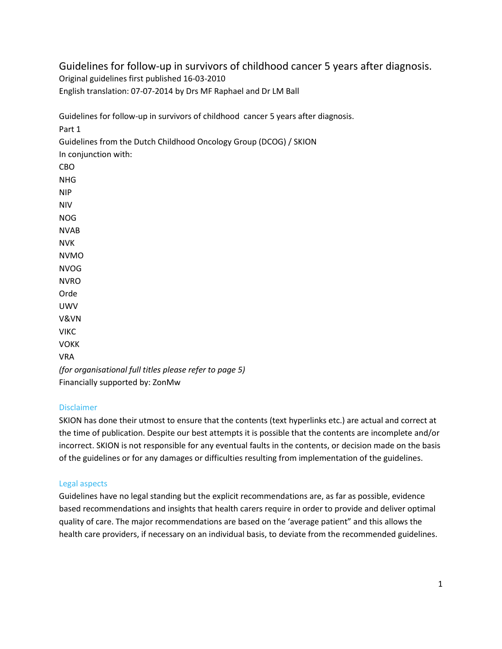# Guidelines for follow-up in survivors of childhood cancer 5 years after diagnosis.

Original guidelines first published 16-03-2010

English translation: 07-07-2014 by Drs MF Raphael and Dr LM Ball

Guidelines for follow-up in survivors of childhood cancer 5 years after diagnosis. Part 1 Guidelines from the Dutch Childhood Oncology Group (DCOG) / SKION In conjunction with: CBO NHG NIP NIV NOG NVAB NVK NVMO NVOG NVRO Orde UWV V&VN VIKC VOKK VRA *(for organisational full titles please refer to page 5)* Financially supported by: ZonMw

## Disclaimer

SKION has done their utmost to ensure that the contents (text hyperlinks etc.) are actual and correct at the time of publication. Despite our best attempts it is possible that the contents are incomplete and/or incorrect. SKION is not responsible for any eventual faults in the contents, or decision made on the basis of the guidelines or for any damages or difficulties resulting from implementation of the guidelines.

#### Legal aspects

Guidelines have no legal standing but the explicit recommendations are, as far as possible, evidence based recommendations and insights that health carers require in order to provide and deliver optimal quality of care. The major recommendations are based on the 'average patient" and this allows the health care providers, if necessary on an individual basis, to deviate from the recommended guidelines.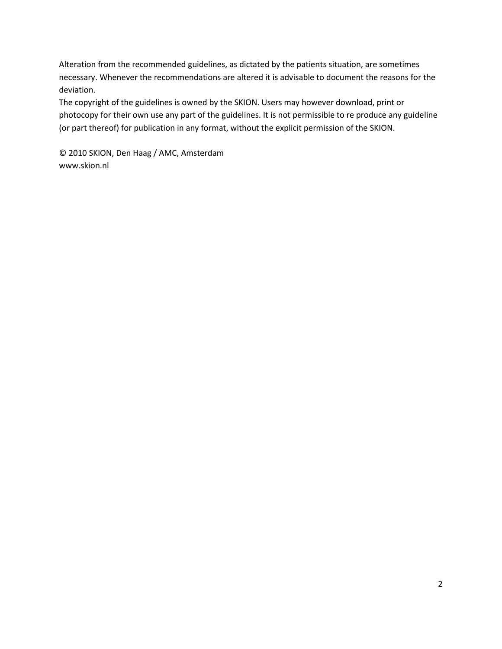Alteration from the recommended guidelines, as dictated by the patients situation, are sometimes necessary. Whenever the recommendations are altered it is advisable to document the reasons for the deviation.

The copyright of the guidelines is owned by the SKION. Users may however download, print or photocopy for their own use any part of the guidelines. It is not permissible to re produce any guideline (or part thereof) for publication in any format, without the explicit permission of the SKION.

© 2010 SKION, Den Haag / AMC, Amsterdam www.skion.nl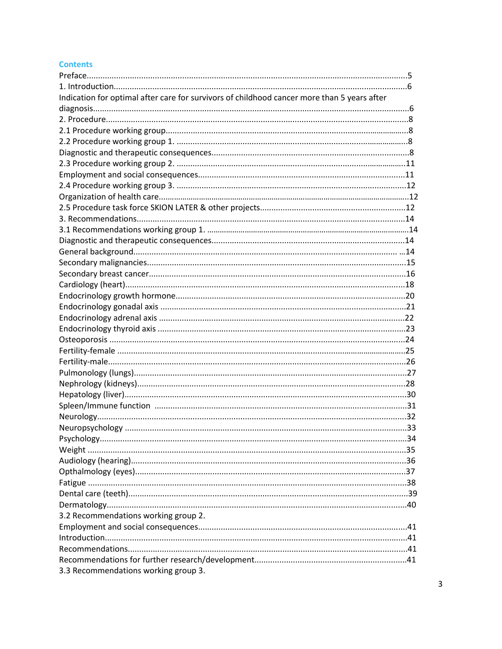#### **Contents**

| Indication for optimal after care for survivors of childhood cancer more than 5 years after |  |
|---------------------------------------------------------------------------------------------|--|
|                                                                                             |  |
|                                                                                             |  |
|                                                                                             |  |
|                                                                                             |  |
|                                                                                             |  |
|                                                                                             |  |
|                                                                                             |  |
|                                                                                             |  |
|                                                                                             |  |
|                                                                                             |  |
|                                                                                             |  |
|                                                                                             |  |
|                                                                                             |  |
|                                                                                             |  |
|                                                                                             |  |
|                                                                                             |  |
|                                                                                             |  |
|                                                                                             |  |
|                                                                                             |  |
|                                                                                             |  |
|                                                                                             |  |
|                                                                                             |  |
|                                                                                             |  |
|                                                                                             |  |
|                                                                                             |  |
|                                                                                             |  |
|                                                                                             |  |
|                                                                                             |  |
|                                                                                             |  |
|                                                                                             |  |
|                                                                                             |  |
|                                                                                             |  |
|                                                                                             |  |
|                                                                                             |  |
|                                                                                             |  |
|                                                                                             |  |
|                                                                                             |  |
| 3.2 Recommendations working group 2.                                                        |  |
|                                                                                             |  |
|                                                                                             |  |
|                                                                                             |  |
|                                                                                             |  |
| 3.3 Recommendations working group 3.                                                        |  |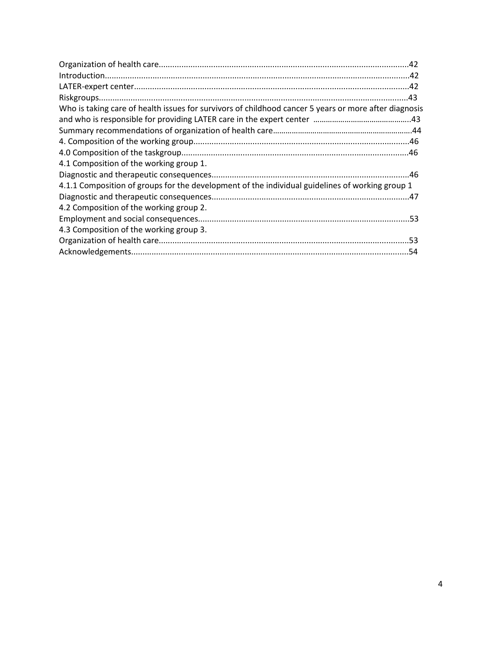| Who is taking care of health issues for survivors of childhood cancer 5 years or more after diagnosis |  |
|-------------------------------------------------------------------------------------------------------|--|
|                                                                                                       |  |
|                                                                                                       |  |
|                                                                                                       |  |
|                                                                                                       |  |
| 4.1 Composition of the working group 1.                                                               |  |
|                                                                                                       |  |
| 4.1.1 Composition of groups for the development of the individual guidelines of working group 1       |  |
|                                                                                                       |  |
| 4.2 Composition of the working group 2.                                                               |  |
|                                                                                                       |  |
| 4.3 Composition of the working group 3.                                                               |  |
|                                                                                                       |  |
|                                                                                                       |  |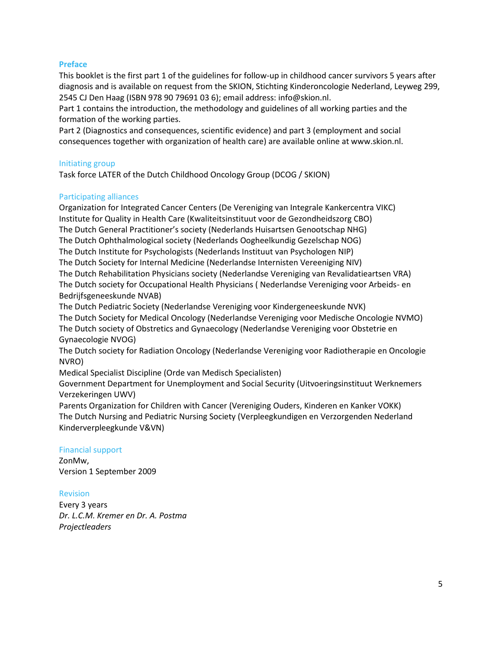#### **Preface**

This booklet is the first part 1 of the guidelines for follow-up in childhood cancer survivors 5 years after diagnosis and is available on request from the SKION, Stichting Kinderoncologie Nederland, Leyweg 299, 2545 CJ Den Haag (ISBN 978 90 79691 03 6); email address: info@skion.nl.

Part 1 contains the introduction, the methodology and guidelines of all working parties and the formation of the working parties.

Part 2 (Diagnostics and consequences, scientific evidence) and part 3 (employment and social consequences together with organization of health care) are available online at www.skion.nl.

#### Initiating group

Task force LATER of the Dutch Childhood Oncology Group (DCOG / SKION)

#### Participating alliances

Organization for Integrated Cancer Centers (De Vereniging van Integrale Kankercentra VIKC) Institute for Quality in Health Care (Kwaliteitsinstituut voor de Gezondheidszorg CBO) The Dutch General Practitioner's society (Nederlands Huisartsen Genootschap NHG) The Dutch Ophthalmological society (Nederlands Oogheelkundig Gezelschap NOG) The Dutch Institute for Psychologists (Nederlands Instituut van Psychologen NIP) The Dutch Society for Internal Medicine (Nederlandse Internisten Vereeniging NIV) The Dutch Rehabilitation Physicians society (Nederlandse Vereniging van Revalidatieartsen VRA) The Dutch society for Occupational Health Physicians ( Nederlandse Vereniging voor Arbeids- en Bedrijfsgeneeskunde NVAB) The Dutch Pediatric Society (Nederlandse Vereniging voor Kindergeneeskunde NVK)

The Dutch Society for Medical Oncology (Nederlandse Vereniging voor Medische Oncologie NVMO) The Dutch society of Obstretics and Gynaecology (Nederlandse Vereniging voor Obstetrie en Gynaecologie NVOG)

The Dutch society for Radiation Oncology (Nederlandse Vereniging voor Radiotherapie en Oncologie NVRO)

Medical Specialist Discipline (Orde van Medisch Specialisten)

Government Department for Unemployment and Social Security (Uitvoeringsinstituut Werknemers Verzekeringen UWV)

Parents Organization for Children with Cancer (Vereniging Ouders, Kinderen en Kanker VOKK) The Dutch Nursing and Pediatric Nursing Society (Verpleegkundigen en Verzorgenden Nederland Kinderverpleegkunde V&VN)

#### Financial support

ZonMw, Version 1 September 2009

#### Revision

Every 3 years *Dr. L.C.M. Kremer en Dr. A. Postma Projectleaders*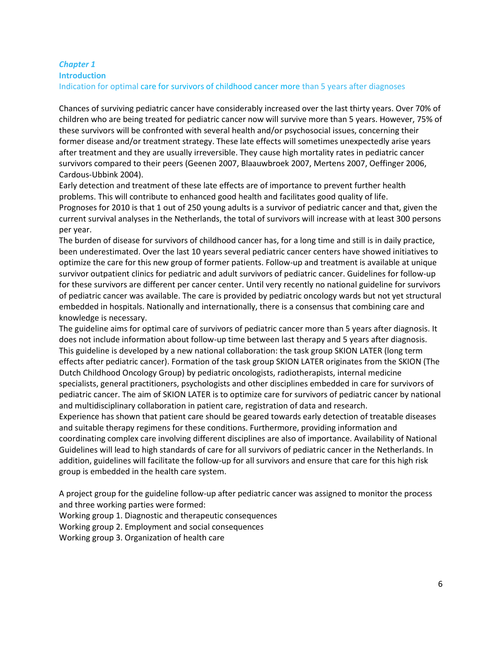# *Chapter 1*

**Introduction**

#### Indication for optimal care for survivors of childhood cancer more than 5 years after diagnoses

Chances of surviving pediatric cancer have considerably increased over the last thirty years. Over 70% of children who are being treated for pediatric cancer now will survive more than 5 years. However, 75% of these survivors will be confronted with several health and/or psychosocial issues, concerning their former disease and/or treatment strategy. These late effects will sometimes unexpectedly arise years after treatment and they are usually irreversible. They cause high mortality rates in pediatric cancer survivors compared to their peers (Geenen 2007, Blaauwbroek 2007, Mertens 2007, Oeffinger 2006, Cardous-Ubbink 2004).

Early detection and treatment of these late effects are of importance to prevent further health problems. This will contribute to enhanced good health and facilitates good quality of life. Prognoses for 2010 is that 1 out of 250 young adults is a survivor of pediatric cancer and that, given the current survival analyses in the Netherlands, the total of survivors will increase with at least 300 persons per year.

The burden of disease for survivors of childhood cancer has, for a long time and still is in daily practice, been underestimated. Over the last 10 years several pediatric cancer centers have showed initiatives to optimize the care for this new group of former patients. Follow-up and treatment is available at unique survivor outpatient clinics for pediatric and adult survivors of pediatric cancer. Guidelines for follow-up for these survivors are different per cancer center. Until very recently no national guideline for survivors of pediatric cancer was available. The care is provided by pediatric oncology wards but not yet structural embedded in hospitals. Nationally and internationally, there is a consensus that combining care and knowledge is necessary.

The guideline aims for optimal care of survivors of pediatric cancer more than 5 years after diagnosis. It does not include information about follow-up time between last therapy and 5 years after diagnosis. This guideline is developed by a new national collaboration: the task group SKION LATER (long term effects after pediatric cancer). Formation of the task group SKION LATER originates from the SKION (The Dutch Childhood Oncology Group) by pediatric oncologists, radiotherapists, internal medicine specialists, general practitioners, psychologists and other disciplines embedded in care for survivors of pediatric cancer. The aim of SKION LATER is to optimize care for survivors of pediatric cancer by national and multidisciplinary collaboration in patient care, registration of data and research. Experience has shown that patient care should be geared towards early detection of treatable diseases and suitable therapy regimens for these conditions. Furthermore, providing information and coordinating complex care involving different disciplines are also of importance. Availability of National Guidelines will lead to high standards of care for all survivors of pediatric cancer in the Netherlands. In addition, guidelines will facilitate the follow-up for all survivors and ensure that care for this high risk

group is embedded in the health care system.

A project group for the guideline follow-up after pediatric cancer was assigned to monitor the process and three working parties were formed:

Working group 1. Diagnostic and therapeutic consequences

Working group 2. Employment and social consequences

Working group 3. Organization of health care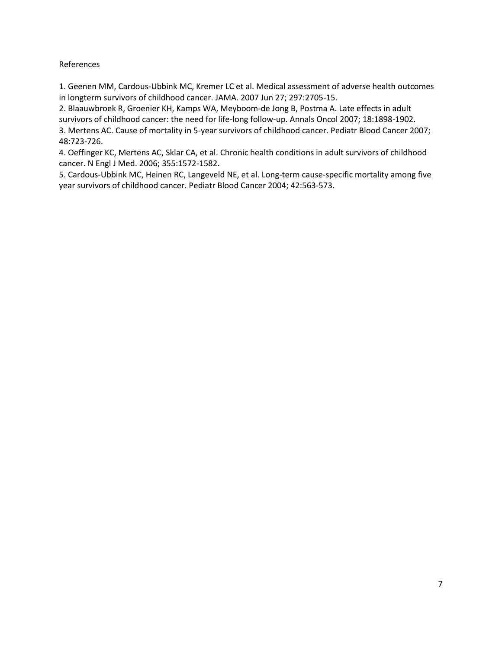#### References

1. Geenen MM, Cardous-Ubbink MC, Kremer LC et al. Medical assessment of adverse health outcomes in longterm survivors of childhood cancer. JAMA. 2007 Jun 27; 297:2705-15.

2. Blaauwbroek R, Groenier KH, Kamps WA, Meyboom-de Jong B, Postma A. Late effects in adult survivors of childhood cancer: the need for life-long follow-up. Annals Oncol 2007; 18:1898-1902. 3. Mertens AC. Cause of mortality in 5-year survivors of childhood cancer. Pediatr Blood Cancer 2007; 48:723-726.

4. Oeffinger KC, Mertens AC, Sklar CA, et al. Chronic health conditions in adult survivors of childhood cancer. N Engl J Med. 2006; 355:1572-1582.

5. Cardous-Ubbink MC, Heinen RC, Langeveld NE, et al. Long-term cause-specific mortality among five year survivors of childhood cancer. Pediatr Blood Cancer 2004; 42:563-573.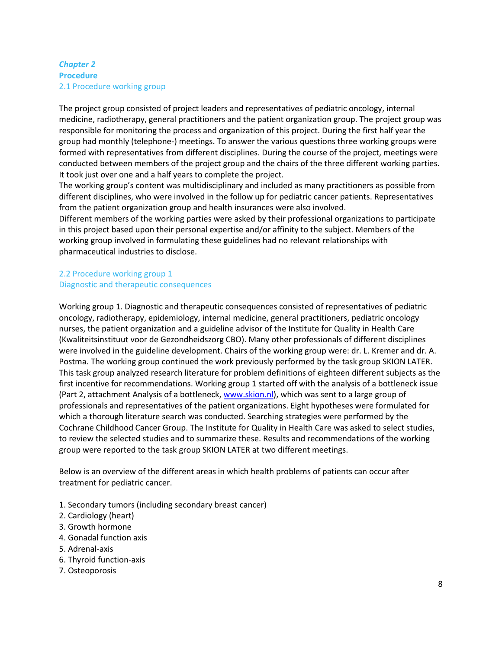## *Chapter 2* **Procedure** 2.1 Procedure working group

The project group consisted of project leaders and representatives of pediatric oncology, internal medicine, radiotherapy, general practitioners and the patient organization group. The project group was responsible for monitoring the process and organization of this project. During the first half year the group had monthly (telephone-) meetings. To answer the various questions three working groups were formed with representatives from different disciplines. During the course of the project, meetings were conducted between members of the project group and the chairs of the three different working parties. It took just over one and a half years to complete the project.

The working group's content was multidisciplinary and included as many practitioners as possible from different disciplines, who were involved in the follow up for pediatric cancer patients. Representatives from the patient organization group and health insurances were also involved.

Different members of the working parties were asked by their professional organizations to participate in this project based upon their personal expertise and/or affinity to the subject. Members of the working group involved in formulating these guidelines had no relevant relationships with pharmaceutical industries to disclose.

### 2.2 Procedure working group 1 Diagnostic and therapeutic consequences

Working group 1. Diagnostic and therapeutic consequences consisted of representatives of pediatric oncology, radiotherapy, epidemiology, internal medicine, general practitioners, pediatric oncology nurses, the patient organization and a guideline advisor of the Institute for Quality in Health Care (Kwaliteitsinstituut voor de Gezondheidszorg CBO). Many other professionals of different disciplines were involved in the guideline development. Chairs of the working group were: dr. L. Kremer and dr. A. Postma. The working group continued the work previously performed by the task group SKION LATER. This task group analyzed research literature for problem definitions of eighteen different subjects as the first incentive for recommendations. Working group 1 started off with the analysis of a bottleneck issue (Part 2, attachment Analysis of a bottleneck[, www.skion.nl\)](http://www.skion.nl/), which was sent to a large group of professionals and representatives of the patient organizations. Eight hypotheses were formulated for which a thorough literature search was conducted. Searching strategies were performed by the Cochrane Childhood Cancer Group. The Institute for Quality in Health Care was asked to select studies, to review the selected studies and to summarize these. Results and recommendations of the working group were reported to the task group SKION LATER at two different meetings.

Below is an overview of the different areas in which health problems of patients can occur after treatment for pediatric cancer.

- 1. Secondary tumors (including secondary breast cancer)
- 2. Cardiology (heart)
- 3. Growth hormone
- 4. Gonadal function axis
- 5. Adrenal-axis
- 6. Thyroid function-axis
- 7. Osteoporosis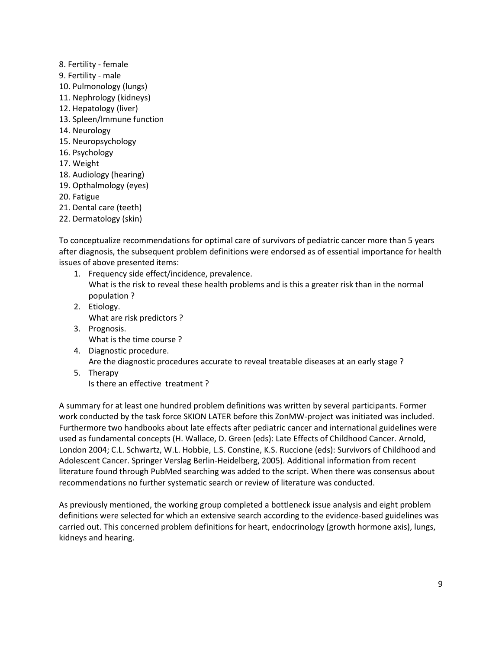- 8. Fertility female
- 9. Fertility male
- 10. Pulmonology (lungs)
- 11. Nephrology (kidneys)
- 12. Hepatology (liver)
- 13. Spleen/Immune function
- 14. Neurology
- 15. Neuropsychology
- 16. Psychology
- 17. Weight
- 18. Audiology (hearing)
- 19. Opthalmology (eyes)
- 20. Fatigue
- 21. Dental care (teeth)
- 22. Dermatology (skin)

To conceptualize recommendations for optimal care of survivors of pediatric cancer more than 5 years after diagnosis, the subsequent problem definitions were endorsed as of essential importance for health issues of above presented items:

- 1. Frequency side effect/incidence, prevalence. What is the risk to reveal these health problems and is this a greater risk than in the normal population ?
- 2. Etiology. What are risk predictors ?
- 3. Prognosis. What is the time course ?
- 4. Diagnostic procedure. Are the diagnostic procedures accurate to reveal treatable diseases at an early stage ?
- 5. Therapy Is there an effective treatment ?

A summary for at least one hundred problem definitions was written by several participants. Former work conducted by the task force SKION LATER before this ZonMW-project was initiated was included. Furthermore two handbooks about late effects after pediatric cancer and international guidelines were used as fundamental concepts (H. Wallace, D. Green (eds): Late Effects of Childhood Cancer. Arnold, London 2004; C.L. Schwartz, W.L. Hobbie, L.S. Constine, K.S. Ruccione (eds): Survivors of Childhood and Adolescent Cancer. Springer Verslag Berlin-Heidelberg, 2005). Additional information from recent literature found through PubMed searching was added to the script. When there was consensus about recommendations no further systematic search or review of literature was conducted.

As previously mentioned, the working group completed a bottleneck issue analysis and eight problem definitions were selected for which an extensive search according to the evidence-based guidelines was carried out. This concerned problem definitions for heart, endocrinology (growth hormone axis), lungs, kidneys and hearing.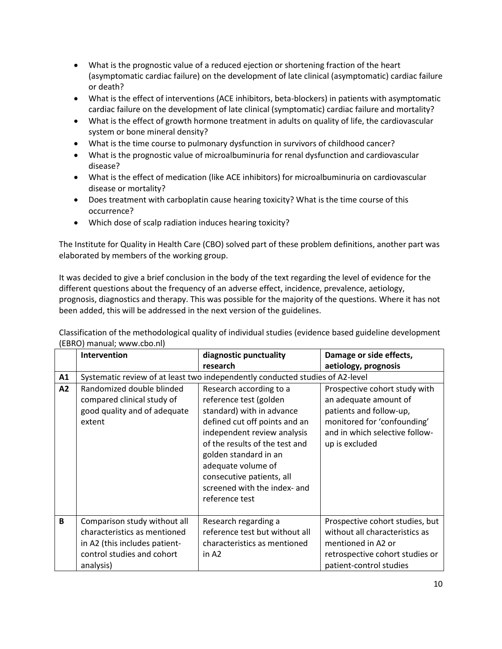- What is the prognostic value of a reduced ejection or shortening fraction of the heart (asymptomatic cardiac failure) on the development of late clinical (asymptomatic) cardiac failure or death?
- What is the effect of interventions (ACE inhibitors, beta-blockers) in patients with asymptomatic cardiac failure on the development of late clinical (symptomatic) cardiac failure and mortality?
- What is the effect of growth hormone treatment in adults on quality of life, the cardiovascular system or bone mineral density?
- What is the time course to pulmonary dysfunction in survivors of childhood cancer?
- What is the prognostic value of microalbuminuria for renal dysfunction and cardiovascular disease?
- What is the effect of medication (like ACE inhibitors) for microalbuminuria on cardiovascular disease or mortality?
- Does treatment with carboplatin cause hearing toxicity? What is the time course of this occurrence?
- Which dose of scalp radiation induces hearing toxicity?

The Institute for Quality in Health Care (CBO) solved part of these problem definitions, another part was elaborated by members of the working group.

It was decided to give a brief conclusion in the body of the text regarding the level of evidence for the different questions about the frequency of an adverse effect, incidence, prevalence, aetiology, prognosis, diagnostics and therapy. This was possible for the majority of the questions. Where it has not been added, this will be addressed in the next version of the guidelines.

|    | Intervention                                                                                                                             | diagnostic punctuality<br>research                                                                                                                                                                                                                                                                             | Damage or side effects,<br>aetiology, prognosis                                                                                                                      |  |
|----|------------------------------------------------------------------------------------------------------------------------------------------|----------------------------------------------------------------------------------------------------------------------------------------------------------------------------------------------------------------------------------------------------------------------------------------------------------------|----------------------------------------------------------------------------------------------------------------------------------------------------------------------|--|
| A1 | Systematic review of at least two independently conducted studies of A2-level                                                            |                                                                                                                                                                                                                                                                                                                |                                                                                                                                                                      |  |
| A2 | Randomized double blinded<br>compared clinical study of<br>good quality and of adequate<br>extent                                        | Research according to a<br>reference test (golden<br>standard) with in advance<br>defined cut off points and an<br>independent review analysis<br>of the results of the test and<br>golden standard in an<br>adequate volume of<br>consecutive patients, all<br>screened with the index- and<br>reference test | Prospective cohort study with<br>an adequate amount of<br>patients and follow-up,<br>monitored for 'confounding'<br>and in which selective follow-<br>up is excluded |  |
| B  | Comparison study without all<br>characteristics as mentioned<br>in A2 (this includes patient-<br>control studies and cohort<br>analysis) | Research regarding a<br>reference test but without all<br>characteristics as mentioned<br>in A2                                                                                                                                                                                                                | Prospective cohort studies, but<br>without all characteristics as<br>mentioned in A2 or<br>retrospective cohort studies or<br>patient-control studies                |  |

Classification of the methodological quality of individual studies (evidence based guideline development (EBRO) manual; www.cbo.nl)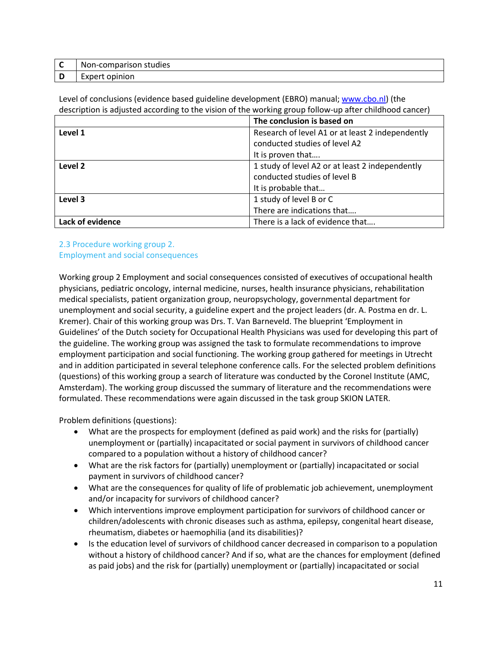| $\epsilon$ | maxmax<br>studies<br>-NOL.<br>$1 - 1$<br>-companson |
|------------|-----------------------------------------------------|
| -<br>-     | inion<br>$\sim$ nin<br>$\sim$<br>'nai<br>ີ ເ<br>ີ   |

Level of conclusions (evidence based guideline development (EBRO) manual[; www.cbo.nl\)](http://www.cbo.nl/) (the description is adjusted according to the vision of the working group follow-up after childhood cancer)

|                  | The conclusion is based on                       |  |
|------------------|--------------------------------------------------|--|
| Level 1          | Research of level A1 or at least 2 independently |  |
|                  | conducted studies of level A2                    |  |
|                  | It is proven that                                |  |
| Level 2          | 1 study of level A2 or at least 2 independently  |  |
|                  | conducted studies of level B                     |  |
|                  | It is probable that                              |  |
| Level 3          | 1 study of level B or C                          |  |
|                  | There are indications that                       |  |
| Lack of evidence | There is a lack of evidence that                 |  |

2.3 Procedure working group 2. Employment and social consequences

Working group 2 Employment and social consequences consisted of executives of occupational health physicians, pediatric oncology, internal medicine, nurses, health insurance physicians, rehabilitation medical specialists, patient organization group, neuropsychology, governmental department for unemployment and social security, a guideline expert and the project leaders (dr. A. Postma en dr. L. Kremer). Chair of this working group was Drs. T. Van Barneveld. The blueprint 'Employment in Guidelines' of the Dutch society for Occupational Health Physicians was used for developing this part of the guideline. The working group was assigned the task to formulate recommendations to improve employment participation and social functioning. The working group gathered for meetings in Utrecht and in addition participated in several telephone conference calls. For the selected problem definitions (questions) of this working group a search of literature was conducted by the Coronel Institute (AMC, Amsterdam). The working group discussed the summary of literature and the recommendations were formulated. These recommendations were again discussed in the task group SKION LATER.

Problem definitions (questions):

- What are the prospects for employment (defined as paid work) and the risks for (partially) unemployment or (partially) incapacitated or social payment in survivors of childhood cancer compared to a population without a history of childhood cancer?
- What are the risk factors for (partially) unemployment or (partially) incapacitated or social payment in survivors of childhood cancer?
- What are the consequences for quality of life of problematic job achievement, unemployment and/or incapacity for survivors of childhood cancer?
- Which interventions improve employment participation for survivors of childhood cancer or children/adolescents with chronic diseases such as asthma, epilepsy, congenital heart disease, rheumatism, diabetes or haemophilia (and its disabilities)?
- Is the education level of survivors of childhood cancer decreased in comparison to a population without a history of childhood cancer? And if so, what are the chances for employment (defined as paid jobs) and the risk for (partially) unemployment or (partially) incapacitated or social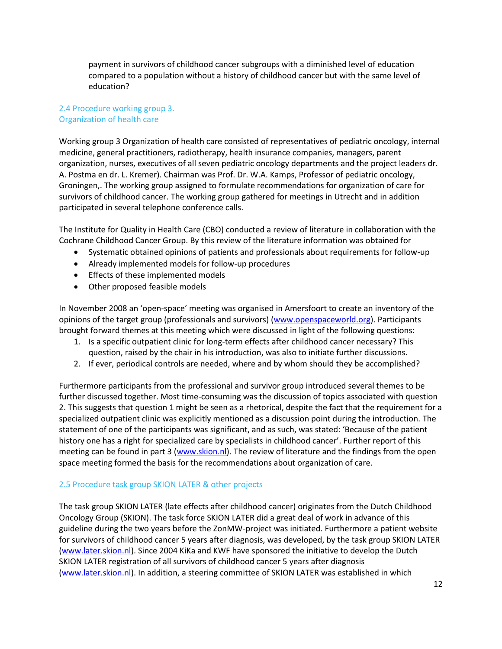payment in survivors of childhood cancer subgroups with a diminished level of education compared to a population without a history of childhood cancer but with the same level of education?

## 2.4 Procedure working group 3. Organization of health care

Working group 3 Organization of health care consisted of representatives of pediatric oncology, internal medicine, general practitioners, radiotherapy, health insurance companies, managers, parent organization, nurses, executives of all seven pediatric oncology departments and the project leaders dr. A. Postma en dr. L. Kremer). Chairman was Prof. Dr. W.A. Kamps, Professor of pediatric oncology, Groningen,. The working group assigned to formulate recommendations for organization of care for survivors of childhood cancer. The working group gathered for meetings in Utrecht and in addition participated in several telephone conference calls.

The Institute for Quality in Health Care (CBO) conducted a review of literature in collaboration with the Cochrane Childhood Cancer Group. By this review of the literature information was obtained for

- Systematic obtained opinions of patients and professionals about requirements for follow-up
- Already implemented models for follow-up procedures
- **•** Effects of these implemented models
- Other proposed feasible models

In November 2008 an 'open-space' meeting was organised in Amersfoort to create an inventory of the opinions of the target group (professionals and survivors) [\(www.openspaceworld.org\)](http://www.openspaceworld.org/). Participants brought forward themes at this meeting which were discussed in light of the following questions:

- 1. Is a specific outpatient clinic for long-term effects after childhood cancer necessary? This question, raised by the chair in his introduction, was also to initiate further discussions.
- 2. If ever, periodical controls are needed, where and by whom should they be accomplished?

Furthermore participants from the professional and survivor group introduced several themes to be further discussed together. Most time-consuming was the discussion of topics associated with question 2. This suggests that question 1 might be seen as a rhetorical, despite the fact that the requirement for a specialized outpatient clinic was explicitly mentioned as a discussion point during the introduction. The statement of one of the participants was significant, and as such, was stated: 'Because of the patient history one has a right for specialized care by specialists in childhood cancer'. Further report of this meeting can be found in part 3 [\(www.skion.nl\)](http://www.skion.nl/). The review of literature and the findings from the open space meeting formed the basis for the recommendations about organization of care.

#### 2.5 Procedure task group SKION LATER & other projects

The task group SKION LATER (late effects after childhood cancer) originates from the Dutch Childhood Oncology Group (SKION). The task force SKION LATER did a great deal of work in advance of this guideline during the two years before the ZonMW-project was initiated. Furthermore a patient website for survivors of childhood cancer 5 years after diagnosis, was developed, by the task group SKION LATER [\(www.later.skion.nl\)](http://www.later.skion.nl/). Since 2004 KiKa and KWF have sponsored the initiative to develop the Dutch SKION LATER registration of all survivors of childhood cancer 5 years after diagnosis [\(www.later.skion.nl\)](http://www.later.skion.nl/). In addition, a steering committee of SKION LATER was established in which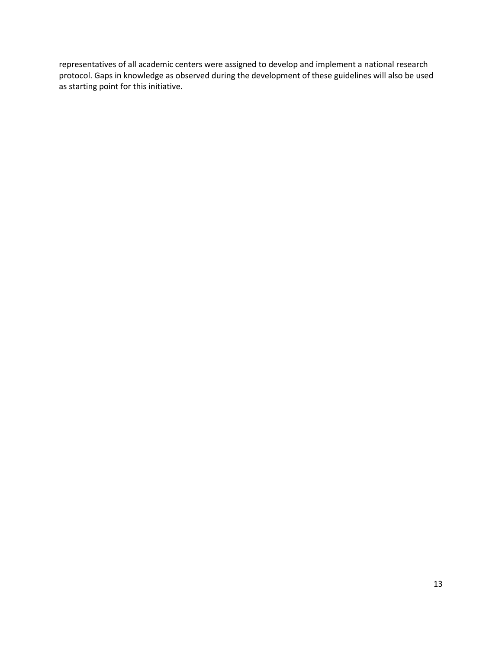representatives of all academic centers were assigned to develop and implement a national research protocol. Gaps in knowledge as observed during the development of these guidelines will also be used as starting point for this initiative.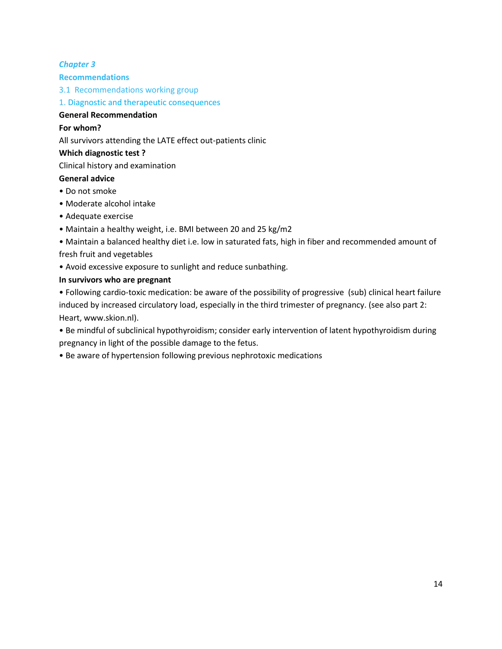## *Chapter 3*

### **Recommendations**

3.1 Recommendations working group

1. Diagnostic and therapeutic consequences

### **General Recommendation**

### **For whom?**

All survivors attending the LATE effect out-patients clinic

#### **Which diagnostic test ?**

Clinical history and examination

#### **General advice**

- Do not smoke
- Moderate alcohol intake
- Adequate exercise
- Maintain a healthy weight, i.e. BMI between 20 and 25 kg/m2

• Maintain a balanced healthy diet i.e. low in saturated fats, high in fiber and recommended amount of fresh fruit and vegetables

• Avoid excessive exposure to sunlight and reduce sunbathing.

#### **In survivors who are pregnant**

• Following cardio-toxic medication: be aware of the possibility of progressive (sub) clinical heart failure induced by increased circulatory load, especially in the third trimester of pregnancy. (see also part 2: Heart, www.skion.nl).

• Be mindful of subclinical hypothyroidism; consider early intervention of latent hypothyroidism during pregnancy in light of the possible damage to the fetus.

• Be aware of hypertension following previous nephrotoxic medications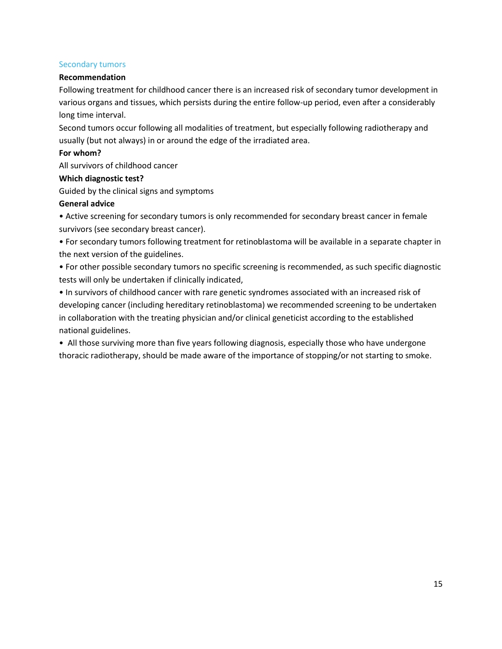## Secondary tumors

#### **Recommendation**

Following treatment for childhood cancer there is an increased risk of secondary tumor development in various organs and tissues, which persists during the entire follow-up period, even after a considerably long time interval.

Second tumors occur following all modalities of treatment, but especially following radiotherapy and usually (but not always) in or around the edge of the irradiated area.

### **For whom?**

All survivors of childhood cancer

#### **Which diagnostic test?**

Guided by the clinical signs and symptoms

#### **General advice**

• Active screening for secondary tumors is only recommended for secondary breast cancer in female survivors (see secondary breast cancer).

• For secondary tumors following treatment for retinoblastoma will be available in a separate chapter in the next version of the guidelines.

• For other possible secondary tumors no specific screening is recommended, as such specific diagnostic tests will only be undertaken if clinically indicated,

• In survivors of childhood cancer with rare genetic syndromes associated with an increased risk of developing cancer (including hereditary retinoblastoma) we recommended screening to be undertaken in collaboration with the treating physician and/or clinical geneticist according to the established national guidelines.

• All those surviving more than five years following diagnosis, especially those who have undergone thoracic radiotherapy, should be made aware of the importance of stopping/or not starting to smoke.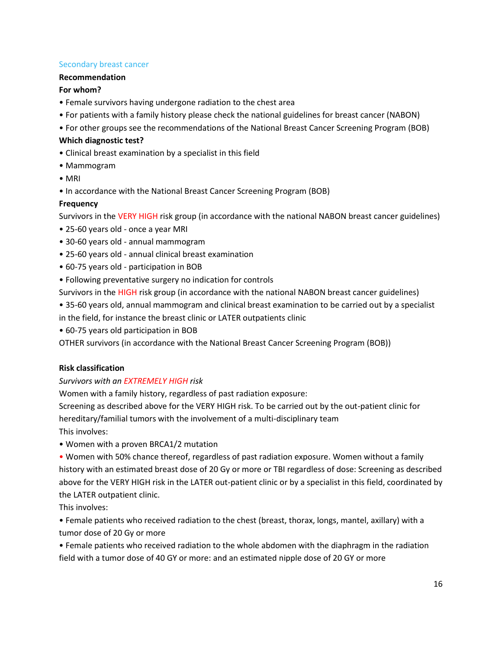#### Secondary breast cancer

#### **Recommendation**

#### **For whom?**

- Female survivors having undergone radiation to the chest area
- For patients with a family history please check the national guidelines for breast cancer (NABON)
- For other groups see the recommendations of the National Breast Cancer Screening Program (BOB)

#### **Which diagnostic test?**

- Clinical breast examination by a specialist in this field
- Mammogram
- MRI
- In accordance with the National Breast Cancer Screening Program (BOB)

#### **Frequency**

Survivors in the VERY HIGH risk group (in accordance with the national NABON breast cancer guidelines)

- 25-60 years old once a year MRI
- 30-60 years old annual mammogram
- 25-60 years old annual clinical breast examination
- 60-75 years old participation in BOB
- Following preventative surgery no indication for controls

Survivors in the HIGH risk group (in accordance with the national NABON breast cancer guidelines)

• 35-60 years old, annual mammogram and clinical breast examination to be carried out by a specialist

in the field, for instance the breast clinic or LATER outpatients clinic

• 60-75 years old participation in BOB

OTHER survivors (in accordance with the National Breast Cancer Screening Program (BOB))

#### **Risk classification**

## *Survivors with an EXTREMELY HIGH risk*

Women with a family history, regardless of past radiation exposure:

Screening as described above for the VERY HIGH risk. To be carried out by the out-patient clinic for hereditary/familial tumors with the involvement of a multi-disciplinary team

This involves:

• Women with a proven BRCA1/2 mutation

• Women with 50% chance thereof, regardless of past radiation exposure. Women without a family history with an estimated breast dose of 20 Gy or more or TBI regardless of dose: Screening as described above for the VERY HIGH risk in the LATER out-patient clinic or by a specialist in this field, coordinated by the LATER outpatient clinic.

This involves:

• Female patients who received radiation to the chest (breast, thorax, longs, mantel, axillary) with a tumor dose of 20 Gy or more

• Female patients who received radiation to the whole abdomen with the diaphragm in the radiation field with a tumor dose of 40 GY or more: and an estimated nipple dose of 20 GY or more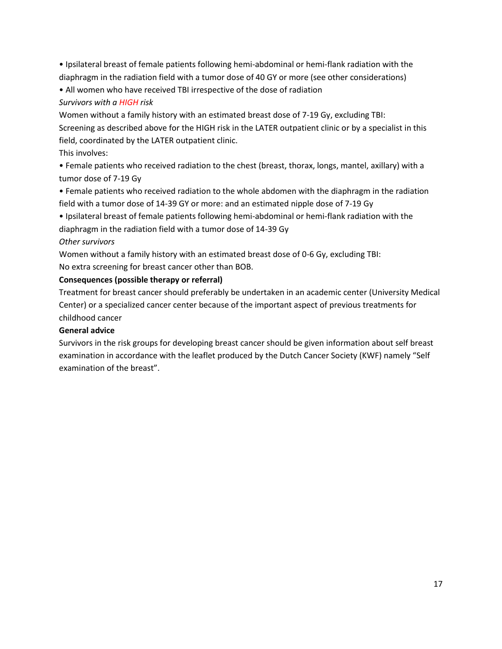• Ipsilateral breast of female patients following hemi-abdominal or hemi-flank radiation with the diaphragm in the radiation field with a tumor dose of 40 GY or more (see other considerations)

• All women who have received TBI irrespective of the dose of radiation

# *Survivors with a HIGH risk*

Women without a family history with an estimated breast dose of 7-19 Gy, excluding TBI:

Screening as described above for the HIGH risk in the LATER outpatient clinic or by a specialist in this field, coordinated by the LATER outpatient clinic.

This involves:

• Female patients who received radiation to the chest (breast, thorax, longs, mantel, axillary) with a tumor dose of 7-19 Gy

• Female patients who received radiation to the whole abdomen with the diaphragm in the radiation field with a tumor dose of 14-39 GY or more: and an estimated nipple dose of 7-19 Gy

• Ipsilateral breast of female patients following hemi-abdominal or hemi-flank radiation with the diaphragm in the radiation field with a tumor dose of 14-39 Gy

# *Other survivors*

Women without a family history with an estimated breast dose of 0-6 Gy, excluding TBI: No extra screening for breast cancer other than BOB.

# **Consequences (possible therapy or referral)**

Treatment for breast cancer should preferably be undertaken in an academic center (University Medical Center) or a specialized cancer center because of the important aspect of previous treatments for childhood cancer

# **General advice**

Survivors in the risk groups for developing breast cancer should be given information about self breast examination in accordance with the leaflet produced by the Dutch Cancer Society (KWF) namely "Self examination of the breast".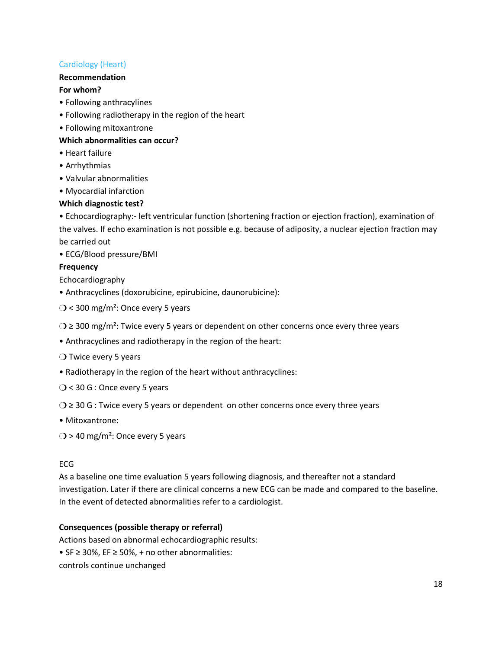# Cardiology (Heart)

## **Recommendation**

### **For whom?**

- Following anthracylines
- Following radiotherapy in the region of the heart
- Following mitoxantrone

## **Which abnormalities can occur?**

- Heart failure
- Arrhythmias
- Valvular abnormalities
- Myocardial infarction

## **Which diagnostic test?**

• Echocardiography:- left ventricular function (shortening fraction or ejection fraction), examination of the valves. If echo examination is not possible e.g. because of adiposity, a nuclear ejection fraction may be carried out

• ECG/Blood pressure/BMI

## **Frequency**

Echocardiography

- Anthracyclines (doxorubicine, epirubicine, daunorubicine):
- $O$  < 300 mg/m<sup>2</sup>: Once every 5 years
- $Q \geq 300$  mg/m<sup>2</sup>: Twice every 5 years or dependent on other concerns once every three years
- Anthracyclines and radiotherapy in the region of the heart:
- ❍ Twice every 5 years
- Radiotherapy in the region of the heart without anthracyclines:
- ❍ < 30 G : Once every 5 years
- $O \geq 30$  G : Twice every 5 years or dependent on other concerns once every three years
- Mitoxantrone:
- $O > 40$  mg/m<sup>2</sup>: Once every 5 years

## ECG

As a baseline one time evaluation 5 years following diagnosis, and thereafter not a standard investigation. Later if there are clinical concerns a new ECG can be made and compared to the baseline. In the event of detected abnormalities refer to a cardiologist.

## **Consequences (possible therapy or referral)**

Actions based on abnormal echocardiographic results: • SF  $\geq$  30%, EF  $\geq$  50%, + no other abnormalities:

controls continue unchanged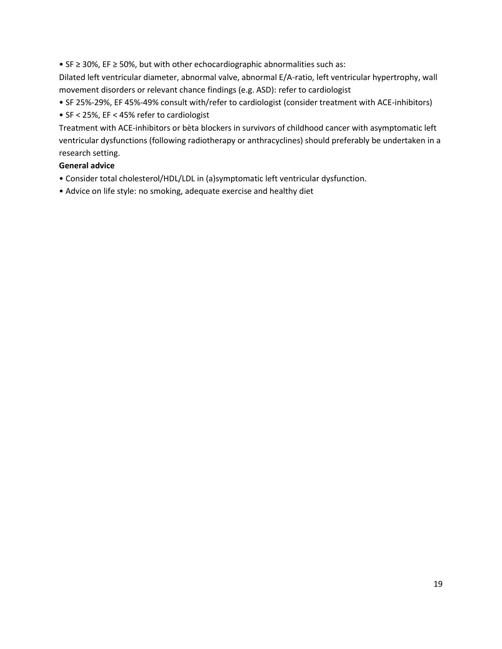• SF ≥ 30%, EF ≥ 50%, but with other echocardiographic abnormalities such as:

Dilated left ventricular diameter, abnormal valve, abnormal E/A-ratio, left ventricular hypertrophy, wall movement disorders or relevant chance findings (e.g. ASD): refer to cardiologist

- SF 25%-29%, EF 45%-49% consult with/refer to cardiologist (consider treatment with ACE-inhibitors)
- SF < 25%, EF < 45% refer to cardiologist

Treatment with ACE-inhibitors or bèta blockers in survivors of childhood cancer with asymptomatic left ventricular dysfunctions (following radiotherapy or anthracyclines) should preferably be undertaken in a research setting.

## **General advice**

- Consider total cholesterol/HDL/LDL in (a)symptomatic left ventricular dysfunction.
- Advice on life style: no smoking, adequate exercise and healthy diet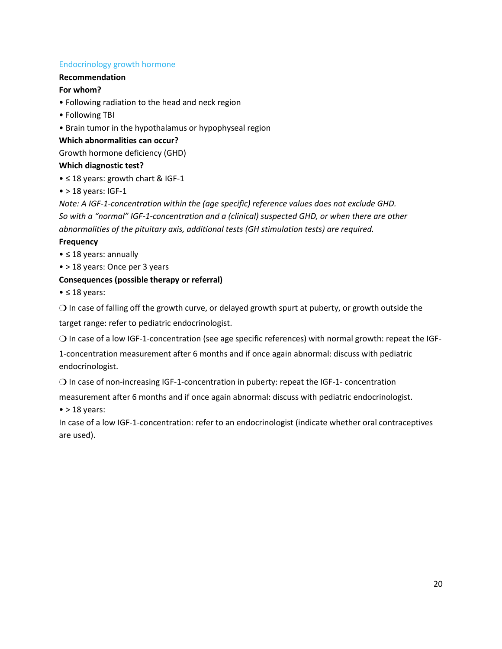#### Endocrinology growth hormone

#### **Recommendation**

## **For whom?**

- Following radiation to the head and neck region
- Following TBI
- Brain tumor in the hypothalamus or hypophyseal region

#### **Which abnormalities can occur?**

Growth hormone deficiency (GHD)

#### **Which diagnostic test?**

- ≤ 18 years: growth chart & IGF-1
- $\bullet$  > 18 years: IGF-1

*Note: A IGF-1-concentration within the (age specific) reference values does not exclude GHD. So with a "normal" IGF-1-concentration and a (clinical) suspected GHD, or when there are other abnormalities of the pituitary axis, additional tests (GH stimulation tests) are required.* 

#### **Frequency**

- ≤ 18 years: annually
- > 18 years: Once per 3 years

## **Consequences (possible therapy or referral)**

 $\bullet$   $\leq$  18 years:

❍ In case of falling off the growth curve, or delayed growth spurt at puberty, or growth outside the target range: refer to pediatric endocrinologist.

❍ In case of a low IGF-1-concentration (see age specific references) with normal growth: repeat the IGF-

1-concentration measurement after 6 months and if once again abnormal: discuss with pediatric endocrinologist.

❍ In case of non-increasing IGF-1-concentration in puberty: repeat the IGF-1- concentration

measurement after 6 months and if once again abnormal: discuss with pediatric endocrinologist.

 $\bullet$  > 18 years:

In case of a low IGF-1-concentration: refer to an endocrinologist (indicate whether oral contraceptives are used).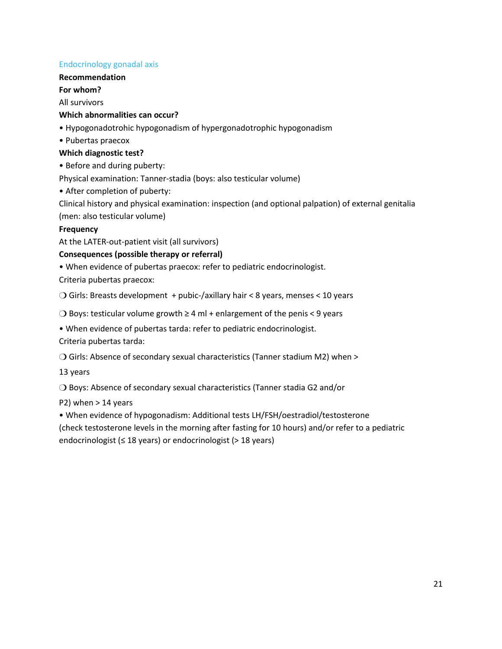#### Endocrinology gonadal axis

## **Recommendation**

### **For whom?**

All survivors

## **Which abnormalities can occur?**

- Hypogonadotrohic hypogonadism of hypergonadotrophic hypogonadism
- Pubertas praecox

### **Which diagnostic test?**

• Before and during puberty:

Physical examination: Tanner-stadia (boys: also testicular volume)

• After completion of puberty:

Clinical history and physical examination: inspection (and optional palpation) of external genitalia (men: also testicular volume)

#### **Frequency**

At the LATER-out-patient visit (all survivors)

#### **Consequences (possible therapy or referral)**

• When evidence of pubertas praecox: refer to pediatric endocrinologist.

Criteria pubertas praecox:

❍ Girls: Breasts development + pubic-/axillary hair < 8 years, menses < 10 years

 $\bigcirc$  Boys: testicular volume growth ≥ 4 ml + enlargement of the penis < 9 years

• When evidence of pubertas tarda: refer to pediatric endocrinologist. Criteria pubertas tarda:

❍ Girls: Absence of secondary sexual characteristics (Tanner stadium M2) when >

13 years

❍ Boys: Absence of secondary sexual characteristics (Tanner stadia G2 and/or

## P2) when > 14 years

• When evidence of hypogonadism: Additional tests LH/FSH/oestradiol/testosterone

(check testosterone levels in the morning after fasting for 10 hours) and/or refer to a pediatric endocrinologist ( $\leq$  18 years) or endocrinologist (> 18 years)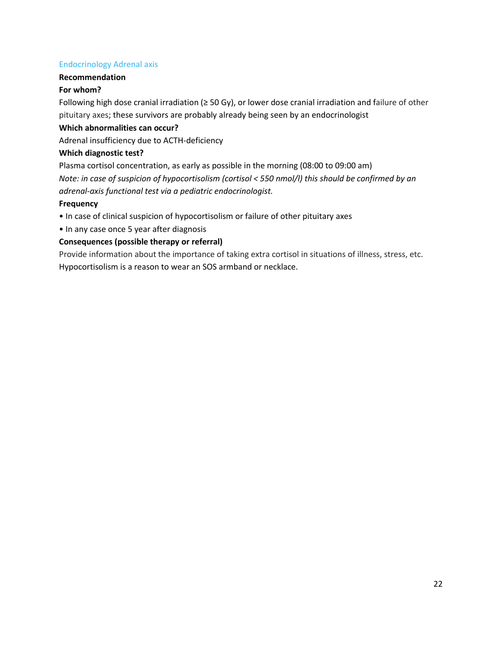#### Endocrinology Adrenal axis

#### **Recommendation**

### **For whom?**

Following high dose cranial irradiation (≥ 50 Gy), or lower dose cranial irradiation and failure of other pituitary axes; these survivors are probably already being seen by an endocrinologist

#### **Which abnormalities can occur?**

Adrenal insufficiency due to ACTH-deficiency

#### **Which diagnostic test?**

Plasma cortisol concentration, as early as possible in the morning (08:00 to 09:00 am) *Note: in case of suspicion of hypocortisolism (cortisol < 550 nmol/l) this should be confirmed by an adrenal-axis functional test via a pediatric endocrinologist.* 

#### **Frequency**

- In case of clinical suspicion of hypocortisolism or failure of other pituitary axes
- In any case once 5 year after diagnosis

#### **Consequences (possible therapy or referral)**

Provide information about the importance of taking extra cortisol in situations of illness, stress, etc. Hypocortisolism is a reason to wear an SOS armband or necklace.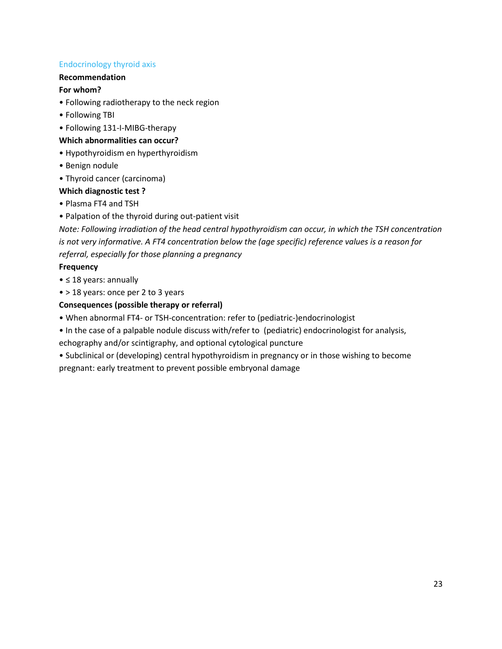#### Endocrinology thyroid axis

## **Recommendation**

### **For whom?**

- Following radiotherapy to the neck region
- Following TBI
- Following 131-I-MIBG-therapy

### **Which abnormalities can occur?**

- Hypothyroidism en hyperthyroidism
- Benign nodule
- Thyroid cancer (carcinoma)

## **Which diagnostic test ?**

- Plasma FT4 and TSH
- Palpation of the thyroid during out-patient visit

*Note: Following irradiation of the head central hypothyroidism can occur, in which the TSH concentration is not very informative. A FT4 concentration below the (age specific) reference values is a reason for referral, especially for those planning a pregnancy*

#### **Frequency**

- ≤ 18 years: annually
- > 18 years: once per 2 to 3 years

#### **Consequences (possible therapy or referral)**

- When abnormal FT4- or TSH-concentration: refer to (pediatric-)endocrinologist
- In the case of a palpable nodule discuss with/refer to (pediatric) endocrinologist for analysis, echography and/or scintigraphy, and optional cytological puncture

• Subclinical or (developing) central hypothyroidism in pregnancy or in those wishing to become pregnant: early treatment to prevent possible embryonal damage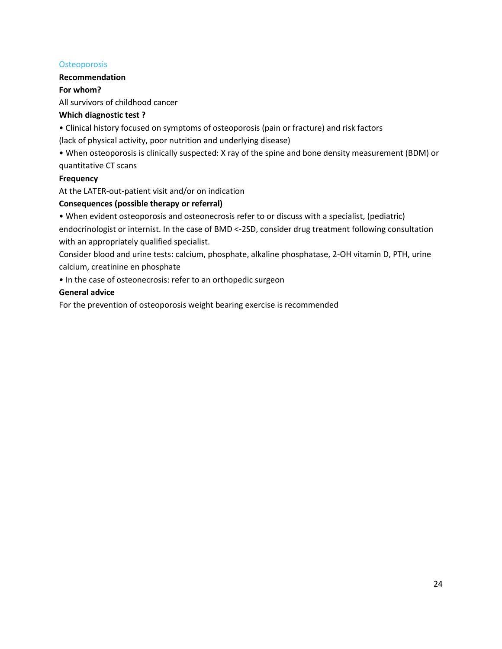## **Osteoporosis**

#### **Recommendation**

**For whom?**

All survivors of childhood cancer

#### **Which diagnostic test ?**

• Clinical history focused on symptoms of osteoporosis (pain or fracture) and risk factors (lack of physical activity, poor nutrition and underlying disease)

• When osteoporosis is clinically suspected: X ray of the spine and bone density measurement (BDM) or quantitative CT scans

#### **Frequency**

At the LATER-out-patient visit and/or on indication

#### **Consequences (possible therapy or referral)**

• When evident osteoporosis and osteonecrosis refer to or discuss with a specialist, (pediatric) endocrinologist or internist. In the case of BMD <-2SD, consider drug treatment following consultation with an appropriately qualified specialist.

Consider blood and urine tests: calcium, phosphate, alkaline phosphatase, 2-OH vitamin D, PTH, urine calcium, creatinine en phosphate

• In the case of osteonecrosis: refer to an orthopedic surgeon

#### **General advice**

For the prevention of osteoporosis weight bearing exercise is recommended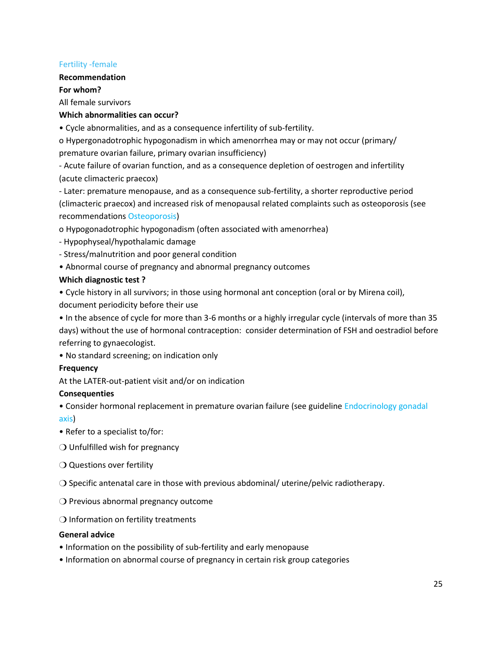### Fertility -female

**Recommendation**

#### **For whom?**

All female survivors

#### **Which abnormalities can occur?**

• Cycle abnormalities, and as a consequence infertility of sub-fertility.

o Hypergonadotrophic hypogonadism in which amenorrhea may or may not occur (primary/ premature ovarian failure, primary ovarian insufficiency)

- Acute failure of ovarian function, and as a consequence depletion of oestrogen and infertility (acute climacteric praecox)

- Later: premature menopause, and as a consequence sub-fertility, a shorter reproductive period (climacteric praecox) and increased risk of menopausal related complaints such as osteoporosis (see recommendations Osteoporosis)

o Hypogonadotrophic hypogonadism (often associated with amenorrhea)

- Hypophyseal/hypothalamic damage
- Stress/malnutrition and poor general condition
- Abnormal course of pregnancy and abnormal pregnancy outcomes

#### **Which diagnostic test ?**

• Cycle history in all survivors; in those using hormonal ant conception (oral or by Mirena coil), document periodicity before their use

• In the absence of cycle for more than 3-6 months or a highly irregular cycle (intervals of more than 35 days) without the use of hormonal contraception: consider determination of FSH and oestradiol before referring to gynaecologist.

• No standard screening; on indication only

#### **Frequency**

At the LATER-out-patient visit and/or on indication

#### **Consequenties**

• Consider hormonal replacement in premature ovarian failure (see guideline Endocrinology gonadal axis)

- Refer to a specialist to/for:
- ❍ Unfulfilled wish for pregnancy
- ❍ Questions over fertility
- ❍ Specific antenatal care in those with previous abdominal/ uterine/pelvic radiotherapy.
- ❍ Previous abnormal pregnancy outcome

❍ Information on fertility treatments

#### **General advice**

- Information on the possibility of sub-fertility and early menopause
- Information on abnormal course of pregnancy in certain risk group categories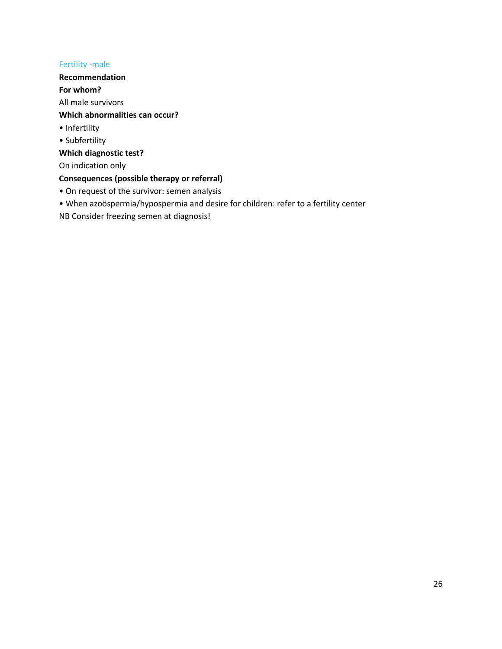# Fertility -male

**Recommendation For whom?** All male survivors **Which abnormalities can occur?** • Infertility • Subfertility **Which diagnostic test?** On indication only **Consequences (possible therapy or referral)** • On request of the survivor: semen analysis

• When azoöspermia/hypospermia and desire for children: refer to a fertility center

NB Consider freezing semen at diagnosis!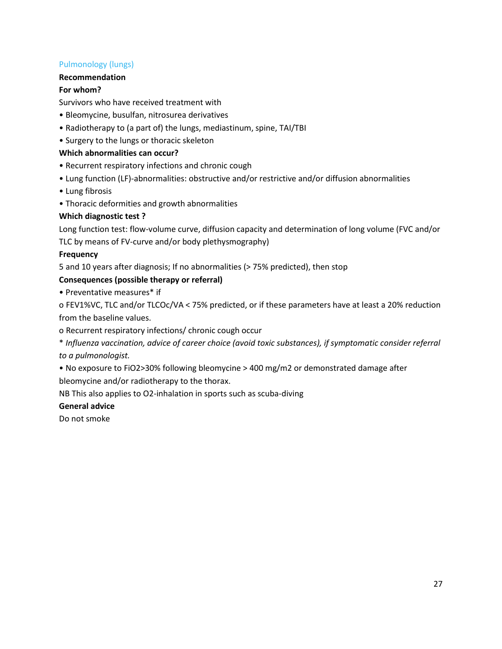# Pulmonology (lungs)

## **Recommendation**

# **For whom?**

Survivors who have received treatment with

- Bleomycine, busulfan, nitrosurea derivatives
- Radiotherapy to (a part of) the lungs, mediastinum, spine, TAI/TBI
- Surgery to the lungs or thoracic skeleton

### **Which abnormalities can occur?**

- Recurrent respiratory infections and chronic cough
- Lung function (LF)-abnormalities: obstructive and/or restrictive and/or diffusion abnormalities
- Lung fibrosis
- Thoracic deformities and growth abnormalities

## **Which diagnostic test ?**

Long function test: flow-volume curve, diffusion capacity and determination of long volume (FVC and/or TLC by means of FV-curve and/or body plethysmography)

#### **Frequency**

5 and 10 years after diagnosis; If no abnormalities (> 75% predicted), then stop

## **Consequences (possible therapy or referral)**

• Preventative measures\* if

o FEV1%VC, TLC and/or TLCOc/VA < 75% predicted, or if these parameters have at least a 20% reduction from the baseline values.

o Recurrent respiratory infections/ chronic cough occur

\* *Influenza vaccination, advice of career choice (avoid toxic substances), if symptomatic consider referral to a pulmonologist.*

• No exposure to FiO2>30% following bleomycine > 400 mg/m2 or demonstrated damage after

bleomycine and/or radiotherapy to the thorax. NB This also applies to O2-inhalation in sports such as scuba-diving

### **General advice**

Do not smoke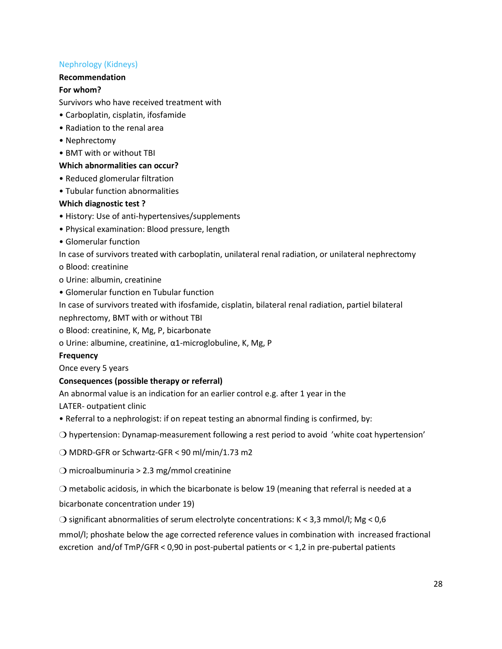# Nephrology (Kidneys)

## **Recommendation**

#### **For whom?**

Survivors who have received treatment with

- Carboplatin, cisplatin, ifosfamide
- Radiation to the renal area
- Nephrectomy
- BMT with or without TBI

#### **Which abnormalities can occur?**

- Reduced glomerular filtration
- Tubular function abnormalities

#### **Which diagnostic test ?**

- History: Use of anti-hypertensives/supplements
- Physical examination: Blood pressure, length
- Glomerular function

In case of survivors treated with carboplatin, unilateral renal radiation, or unilateral nephrectomy o Blood: creatinine

- o Urine: albumin, creatinine
- Glomerular function en Tubular function
- In case of survivors treated with ifosfamide, cisplatin, bilateral renal radiation, partiel bilateral nephrectomy, BMT with or without TBI
- o Blood: creatinine, K, Mg, P, bicarbonate
- o Urine: albumine, creatinine, α1-microglobuline, K, Mg, P

#### **Frequency**

Once every 5 years

#### **Consequences (possible therapy or referral)**

An abnormal value is an indication for an earlier control e.g. after 1 year in the

LATER- outpatient clinic

• Referral to a nephrologist: if on repeat testing an abnormal finding is confirmed, by:

❍ hypertension: Dynamap-measurement following a rest period to avoid 'white coat hypertension'

❍ MDRD-GFR or Schwartz-GFR < 90 ml/min/1.73 m2

❍ microalbuminuria > 2.3 mg/mmol creatinine

❍ metabolic acidosis, in which the bicarbonate is below 19 (meaning that referral is needed at a bicarbonate concentration under 19)

 $\bigcirc$  significant abnormalities of serum electrolyte concentrations: K < 3,3 mmol/l; Mg < 0,6

mmol/l; phoshate below the age corrected reference values in combination with increased fractional excretion and/of TmP/GFR < 0,90 in post-pubertal patients or < 1,2 in pre-pubertal patients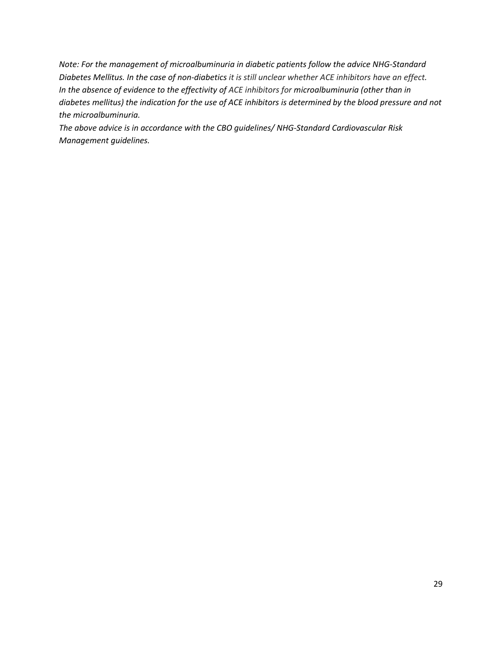*Note: For the management of microalbuminuria in diabetic patients follow the advice NHG-Standard Diabetes Mellitus. In the case of non-diabetics it is still unclear whether ACE inhibitors have an effect. In the absence of evidence to the effectivity of ACE inhibitors for microalbuminuria (other than in diabetes mellitus) the indication for the use of ACE inhibitors is determined by the blood pressure and not the microalbuminuria.*

*The above advice is in accordance with the CBO guidelines/ NHG-Standard Cardiovascular Risk Management guidelines.*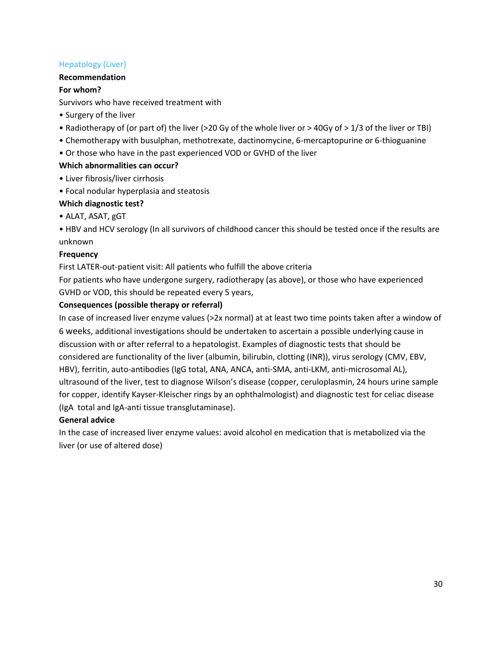# Hepatology (Liver)

## **Recommendation**

# **For whom?**

Survivors who have received treatment with

- Surgery of the liver
- Radiotherapy of (or part of) the liver (>20 Gy of the whole liver or > 40Gy of > 1/3 of the liver or TBI)
- Chemotherapy with busulphan, methotrexate, dactinomycine, 6-mercaptopurine or 6-thioguanine
- Or those who have in the past experienced VOD or GVHD of the liver

# **Which abnormalities can occur?**

- Liver fibrosis/liver cirrhosis
- Focal nodular hyperplasia and steatosis

# **Which diagnostic test?**

• ALAT, ASAT, gGT

• HBV and HCV serology (In all survivors of childhood cancer this should be tested once if the results are unknown

# **Frequency**

First LATER-out-patient visit: All patients who fulfill the above criteria

For patients who have undergone surgery, radiotherapy (as above), or those who have experienced GVHD or VOD, this should be repeated every 5 years,

## **Consequences (possible therapy or referral)**

In case of increased liver enzyme values (>2x normal) at at least two time points taken after a window of 6 weeks, additional investigations should be undertaken to ascertain a possible underlying cause in discussion with or after referral to a hepatologist. Examples of diagnostic tests that should be considered are functionality of the liver (albumin, bilirubin, clotting (INR)), virus serology (CMV, EBV, HBV), ferritin, auto-antibodies (IgG total, ANA, ANCA, anti-SMA, anti-LKM, anti-microsomal AL), ultrasound of the liver, test to diagnose Wilson's disease (copper, ceruloplasmin, 24 hours urine sample for copper, identify Kayser-Kleischer rings by an ophthalmologist) and diagnostic test for celiac disease (IgA total and IgA-anti tissue transglutaminase).

## **General advice**

In the case of increased liver enzyme values: avoid alcohol en medication that is metabolized via the liver (or use of altered dose)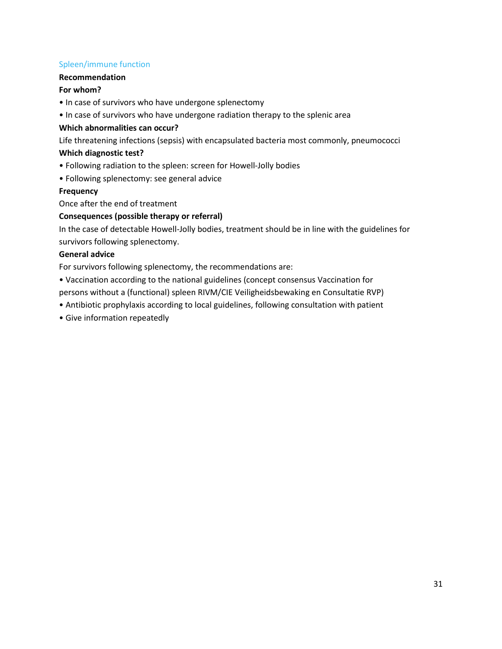## Spleen/immune function

## **Recommendation**

#### **For whom?**

- In case of survivors who have undergone splenectomy
- In case of survivors who have undergone radiation therapy to the splenic area

#### **Which abnormalities can occur?**

Life threatening infections (sepsis) with encapsulated bacteria most commonly, pneumococci

#### **Which diagnostic test?**

- Following radiation to the spleen: screen for Howell-Jolly bodies
- Following splenectomy: see general advice

#### **Frequency**

Once after the end of treatment

#### **Consequences (possible therapy or referral)**

In the case of detectable Howell-Jolly bodies, treatment should be in line with the guidelines for survivors following splenectomy.

#### **General advice**

For survivors following splenectomy, the recommendations are:

- Vaccination according to the national guidelines (concept consensus Vaccination for persons without a (functional) spleen RIVM/CIE Veiligheidsbewaking en Consultatie RVP)
- Antibiotic prophylaxis according to local guidelines, following consultation with patient
- Give information repeatedly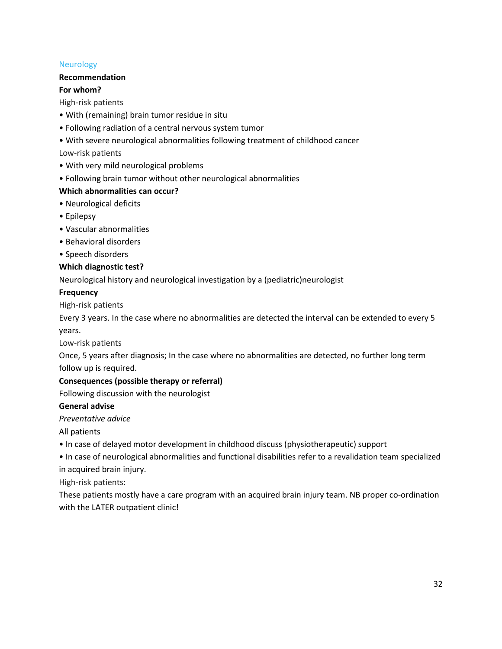## Neurology

#### **Recommendation**

### **For whom?**

High-risk patients

- With (remaining) brain tumor residue in situ
- Following radiation of a central nervous system tumor
- With severe neurological abnormalities following treatment of childhood cancer

Low-risk patients

- With very mild neurological problems
- Following brain tumor without other neurological abnormalities

#### **Which abnormalities can occur?**

- Neurological deficits
- Epilepsy
- Vascular abnormalities
- Behavioral disorders
- Speech disorders

#### **Which diagnostic test?**

Neurological history and neurological investigation by a (pediatric)neurologist

#### **Frequency**

High-risk patients

Every 3 years. In the case where no abnormalities are detected the interval can be extended to every 5 years.

Low-risk patients

Once, 5 years after diagnosis; In the case where no abnormalities are detected, no further long term follow up is required.

## **Consequences (possible therapy or referral)**

Following discussion with the neurologist

#### **General advise**

*Preventative advice*

All patients

• In case of delayed motor development in childhood discuss (physiotherapeutic) support

• In case of neurological abnormalities and functional disabilities refer to a revalidation team specialized in acquired brain injury.

High-risk patients:

These patients mostly have a care program with an acquired brain injury team. NB proper co-ordination with the LATER outpatient clinic!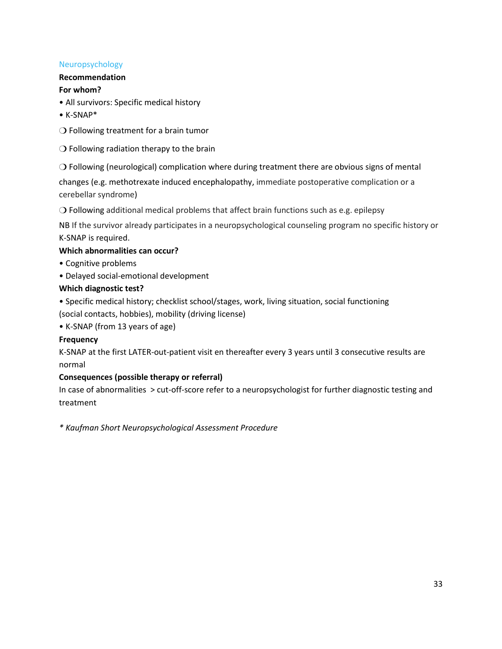# Neuropsychology

## **Recommendation**

## **For whom?**

• All survivors: Specific medical history

• K-SNAP\*

❍ Following treatment for a brain tumor

❍ Following radiation therapy to the brain

❍ Following (neurological) complication where during treatment there are obvious signs of mental

changes (e.g. methotrexate induced encephalopathy, immediate postoperative complication or a cerebellar syndrome)

❍ Following additional medical problems that affect brain functions such as e.g. epilepsy

NB If the survivor already participates in a neuropsychological counseling program no specific history or K-SNAP is required.

## **Which abnormalities can occur?**

- Cognitive problems
- Delayed social-emotional development

# **Which diagnostic test?**

• Specific medical history; checklist school/stages, work, living situation, social functioning (social contacts, hobbies), mobility (driving license)

• K-SNAP (from 13 years of age)

## **Frequency**

K-SNAP at the first LATER-out-patient visit en thereafter every 3 years until 3 consecutive results are normal

# **Consequences (possible therapy or referral)**

In case of abnormalities > cut-off-score refer to a neuropsychologist for further diagnostic testing and treatment

*\* Kaufman Short Neuropsychological Assessment Procedure*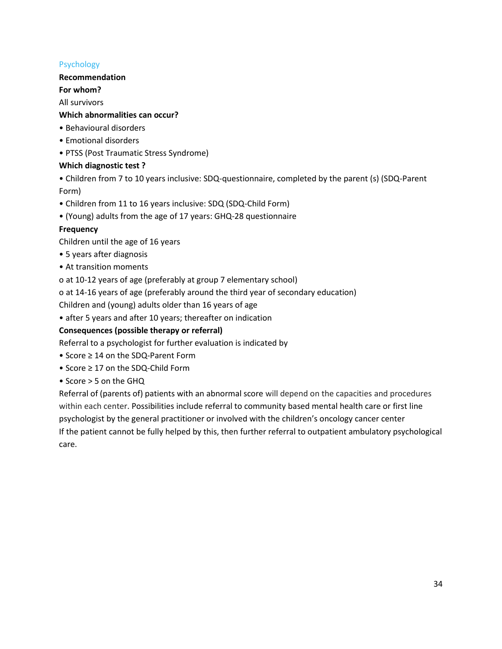# Psychology

#### **Recommendation**

# **For whom?**

## All survivors

# **Which abnormalities can occur?**

- Behavioural disorders
- Emotional disorders
- PTSS (Post Traumatic Stress Syndrome)

# **Which diagnostic test ?**

- Children from 7 to 10 years inclusive: SDQ-questionnaire, completed by the parent (s) (SDQ-Parent Form)
- Children from 11 to 16 years inclusive: SDQ (SDQ-Child Form)
- (Young) adults from the age of 17 years: GHQ-28 questionnaire

# **Frequency**

Children until the age of 16 years

- 5 years after diagnosis
- At transition moments

o at 10-12 years of age (preferably at group 7 elementary school)

o at 14-16 years of age (preferably around the third year of secondary education)

Children and (young) adults older than 16 years of age

• after 5 years and after 10 years; thereafter on indication

# **Consequences (possible therapy or referral)**

Referral to a psychologist for further evaluation is indicated by

- Score ≥ 14 on the SDQ-Parent Form
- Score ≥ 17 on the SDQ-Child Form
- Score > 5 on the GHQ

Referral of (parents of) patients with an abnormal score will depend on the capacities and procedures within each center. Possibilities include referral to community based mental health care or first line psychologist by the general practitioner or involved with the children's oncology cancer center If the patient cannot be fully helped by this, then further referral to outpatient ambulatory psychological care.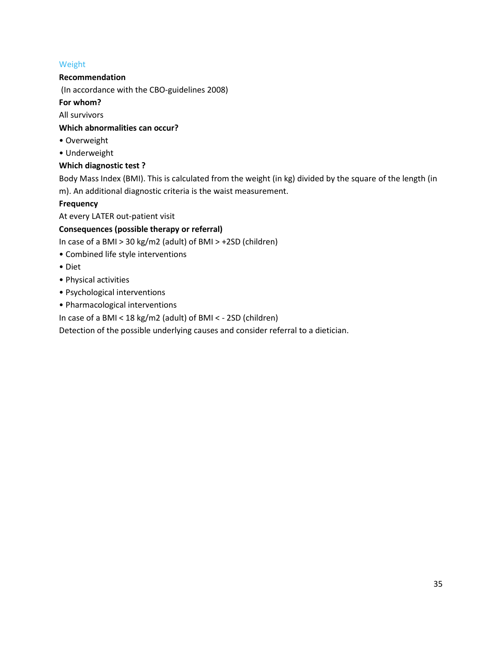# Weight

### **Recommendation**

(In accordance with the CBO-guidelines 2008)

#### **For whom?**

All survivors

## **Which abnormalities can occur?**

- Overweight
- Underweight

## **Which diagnostic test ?**

Body Mass Index (BMI). This is calculated from the weight (in kg) divided by the square of the length (in m). An additional diagnostic criteria is the waist measurement.

#### **Frequency**

At every LATER out-patient visit

## **Consequences (possible therapy or referral)**

In case of a BMI > 30 kg/m2 (adult) of BMI > +2SD (children)

- Combined life style interventions
- Diet
- Physical activities
- Psychological interventions
- Pharmacological interventions

In case of a BMI < 18 kg/m2 (adult) of BMI < - 2SD (children)

Detection of the possible underlying causes and consider referral to a dietician.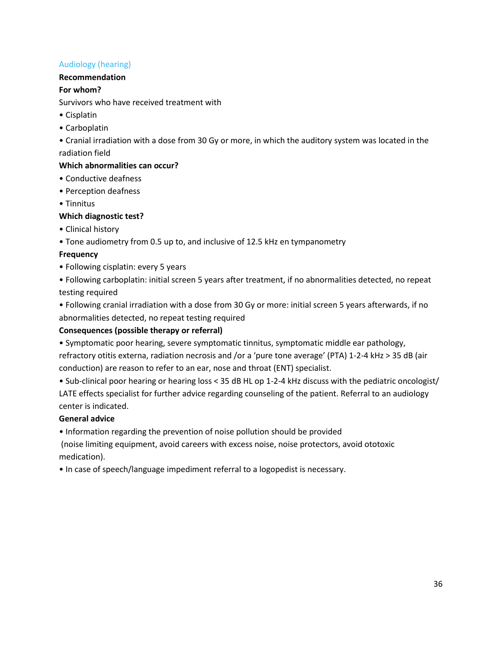# Audiology (hearing)

## **Recommendation**

# **For whom?**

Survivors who have received treatment with

- Cisplatin
- Carboplatin

• Cranial irradiation with a dose from 30 Gy or more, in which the auditory system was located in the radiation field

# **Which abnormalities can occur?**

- Conductive deafness
- Perception deafness
- Tinnitus

# **Which diagnostic test?**

- Clinical history
- Tone audiometry from 0.5 up to, and inclusive of 12.5 kHz en tympanometry

# **Frequency**

- Following cisplatin: every 5 years
- Following carboplatin: initial screen 5 years after treatment, if no abnormalities detected, no repeat testing required

• Following cranial irradiation with a dose from 30 Gy or more: initial screen 5 years afterwards, if no abnormalities detected, no repeat testing required

# **Consequences (possible therapy or referral)**

• Symptomatic poor hearing, severe symptomatic tinnitus, symptomatic middle ear pathology, refractory otitis externa, radiation necrosis and /or a 'pure tone average' (PTA) 1-2-4 kHz > 35 dB (air conduction) are reason to refer to an ear, nose and throat (ENT) specialist.

• Sub-clinical poor hearing or hearing loss < 35 dB HL op 1-2-4 kHz discuss with the pediatric oncologist/ LATE effects specialist for further advice regarding counseling of the patient. Referral to an audiology center is indicated.

# **General advice**

• Information regarding the prevention of noise pollution should be provided

(noise limiting equipment, avoid careers with excess noise, noise protectors, avoid ototoxic medication).

• In case of speech/language impediment referral to a logopedist is necessary.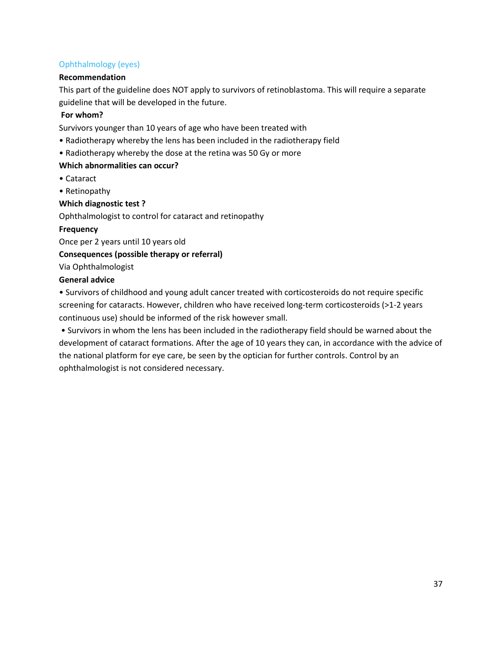# Ophthalmology (eyes)

### **Recommendation**

This part of the guideline does NOT apply to survivors of retinoblastoma. This will require a separate guideline that will be developed in the future.

### **For whom?**

Survivors younger than 10 years of age who have been treated with

- Radiotherapy whereby the lens has been included in the radiotherapy field
- Radiotherapy whereby the dose at the retina was 50 Gy or more

#### **Which abnormalities can occur?**

- Cataract
- Retinopathy

#### **Which diagnostic test ?**

Ophthalmologist to control for cataract and retinopathy

#### **Frequency**

Once per 2 years until 10 years old

**Consequences (possible therapy or referral)**

Via Ophthalmologist

#### **General advice**

• Survivors of childhood and young adult cancer treated with corticosteroids do not require specific screening for cataracts. However, children who have received long-term corticosteroids (>1-2 years continuous use) should be informed of the risk however small.

• Survivors in whom the lens has been included in the radiotherapy field should be warned about the development of cataract formations. After the age of 10 years they can, in accordance with the advice of the national platform for eye care, be seen by the optician for further controls. Control by an ophthalmologist is not considered necessary.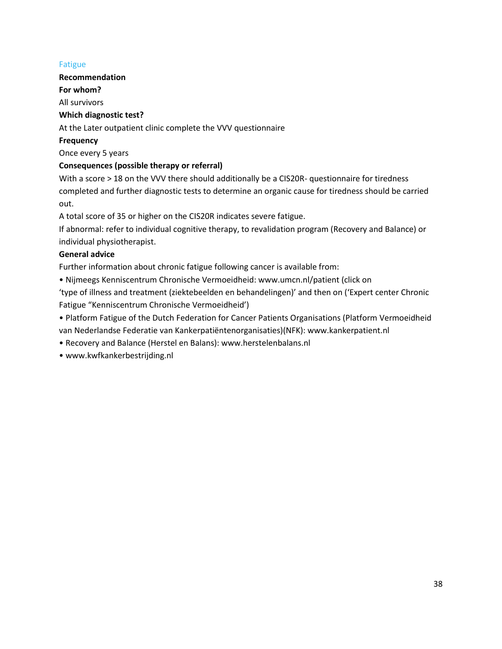# Fatigue

**Recommendation For whom?** All survivors **Which diagnostic test?** At the Later outpatient clinic complete the VVV questionnaire **Frequency** Once every 5 years **Consequences (possible therapy or referral)**

With a score > 18 on the VVV there should additionally be a CIS20R- questionnaire for tiredness completed and further diagnostic tests to determine an organic cause for tiredness should be carried out.

A total score of 35 or higher on the CIS20R indicates severe fatigue.

If abnormal: refer to individual cognitive therapy, to revalidation program (Recovery and Balance) or individual physiotherapist.

## **General advice**

Further information about chronic fatigue following cancer is available from:

• Nijmeegs Kenniscentrum Chronische Vermoeidheid: www.umcn.nl/patient (click on

'type of illness and treatment (ziektebeelden en behandelingen)' and then on ('Expert center Chronic Fatigue "Kenniscentrum Chronische Vermoeidheid')

• Platform Fatigue of the Dutch Federation for Cancer Patients Organisations (Platform Vermoeidheid van Nederlandse Federatie van Kankerpatiëntenorganisaties)(NFK): www.kankerpatient.nl

- Recovery and Balance (Herstel en Balans): www.herstelenbalans.nl
- www.kwfkankerbestrijding.nl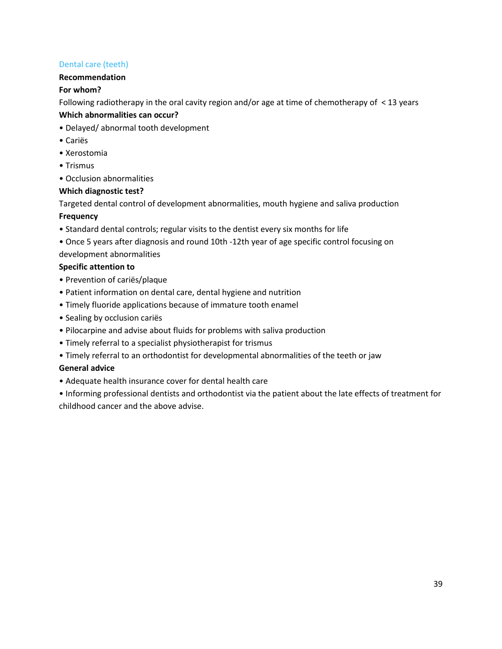# Dental care (teeth)

# **Recommendation**

# **For whom?**

Following radiotherapy in the oral cavity region and/or age at time of chemotherapy of < 13 years **Which abnormalities can occur?**

- Delayed/ abnormal tooth development
- Cariës
- Xerostomia
- Trismus
- Occlusion abnormalities

# **Which diagnostic test?**

Targeted dental control of development abnormalities, mouth hygiene and saliva production

# **Frequency**

- Standard dental controls; regular visits to the dentist every six months for life
- Once 5 years after diagnosis and round 10th -12th year of age specific control focusing on

# development abnormalities

# **Specific attention to**

- Prevention of cariës/plaque
- Patient information on dental care, dental hygiene and nutrition
- Timely fluoride applications because of immature tooth enamel
- Sealing by occlusion cariës
- Pilocarpine and advise about fluids for problems with saliva production
- Timely referral to a specialist physiotherapist for trismus
- Timely referral to an orthodontist for developmental abnormalities of the teeth or jaw

# **General advice**

- Adequate health insurance cover for dental health care
- Informing professional dentists and orthodontist via the patient about the late effects of treatment for childhood cancer and the above advise.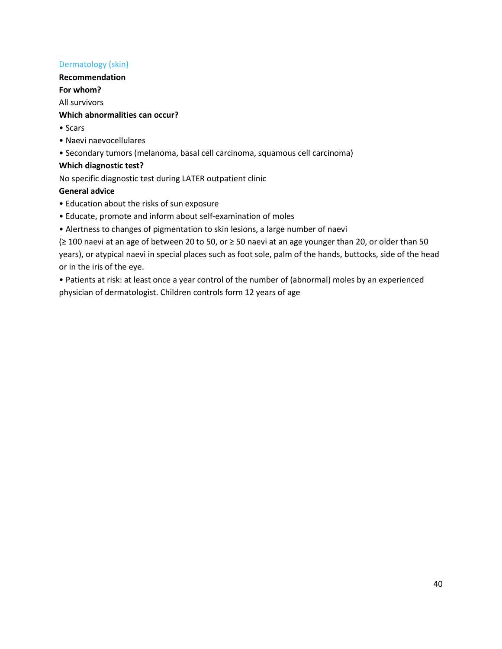# Dermatology (skin)

## **Recommendation**

# **For whom?**

All survivors

# **Which abnormalities can occur?**

- Scars
- Naevi naevocellulares
- Secondary tumors (melanoma, basal cell carcinoma, squamous cell carcinoma)

# **Which diagnostic test?**

No specific diagnostic test during LATER outpatient clinic

# **General advice**

- Education about the risks of sun exposure
- Educate, promote and inform about self-examination of moles
- Alertness to changes of pigmentation to skin lesions, a large number of naevi

(≥ 100 naevi at an age of between 20 to 50, or ≥ 50 naevi at an age younger than 20, or older than 50 years), or atypical naevi in special places such as foot sole, palm of the hands, buttocks, side of the head or in the iris of the eye.

• Patients at risk: at least once a year control of the number of (abnormal) moles by an experienced physician of dermatologist. Children controls form 12 years of age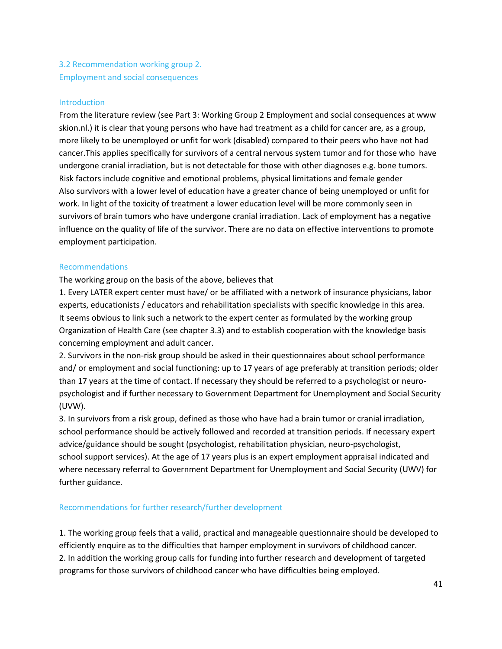# 3.2 Recommendation working group 2. Employment and social consequences

#### Introduction

From the literature review (see Part 3: Working Group 2 Employment and social consequences at www skion.nl.) it is clear that young persons who have had treatment as a child for cancer are, as a group, more likely to be unemployed or unfit for work (disabled) compared to their peers who have not had cancer.This applies specifically for survivors of a central nervous system tumor and for those who have undergone cranial irradiation, but is not detectable for those with other diagnoses e.g. bone tumors. Risk factors include cognitive and emotional problems, physical limitations and female gender Also survivors with a lower level of education have a greater chance of being unemployed or unfit for work. In light of the toxicity of treatment a lower education level will be more commonly seen in survivors of brain tumors who have undergone cranial irradiation. Lack of employment has a negative influence on the quality of life of the survivor. There are no data on effective interventions to promote employment participation.

#### Recommendations

The working group on the basis of the above, believes that

1. Every LATER expert center must have/ or be affiliated with a network of insurance physicians, labor experts, educationists / educators and rehabilitation specialists with specific knowledge in this area. It seems obvious to link such a network to the expert center as formulated by the working group Organization of Health Care (see chapter 3.3) and to establish cooperation with the knowledge basis concerning employment and adult cancer.

2. Survivors in the non-risk group should be asked in their questionnaires about school performance and/ or employment and social functioning: up to 17 years of age preferably at transition periods; older than 17 years at the time of contact. If necessary they should be referred to a psychologist or neuropsychologist and if further necessary to Government Department for Unemployment and Social Security (UVW).

3. In survivors from a risk group, defined as those who have had a brain tumor or cranial irradiation, school performance should be actively followed and recorded at transition periods. If necessary expert advice/guidance should be sought (psychologist, rehabilitation physician, neuro-psychologist, school support services). At the age of 17 years plus is an expert employment appraisal indicated and where necessary referral to Government Department for Unemployment and Social Security (UWV) for further guidance.

#### Recommendations for further research/further development

1. The working group feels that a valid, practical and manageable questionnaire should be developed to efficiently enquire as to the difficulties that hamper employment in survivors of childhood cancer. 2. In addition the working group calls for funding into further research and development of targeted programs for those survivors of childhood cancer who have difficulties being employed.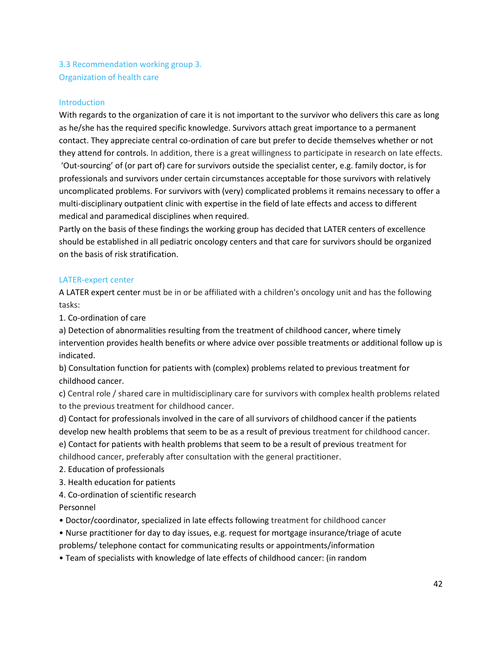# 3.3 Recommendation working group 3. Organization of health care

#### Introduction

With regards to the organization of care it is not important to the survivor who delivers this care as long as he/she has the required specific knowledge. Survivors attach great importance to a permanent contact. They appreciate central co-ordination of care but prefer to decide themselves whether or not they attend for controls. In addition, there is a great willingness to participate in research on late effects. 'Out-sourcing' of (or part of) care for survivors outside the specialist center, e.g. family doctor, is for professionals and survivors under certain circumstances acceptable for those survivors with relatively uncomplicated problems. For survivors with (very) complicated problems it remains necessary to offer a multi-disciplinary outpatient clinic with expertise in the field of late effects and access to different medical and paramedical disciplines when required.

Partly on the basis of these findings the working group has decided that LATER centers of excellence should be established in all pediatric oncology centers and that care for survivors should be organized on the basis of risk stratification.

#### LATER-expert center

A LATER expert center must be in or be affiliated with a children's oncology unit and has the following tasks:

1. Co-ordination of care

a) Detection of abnormalities resulting from the treatment of childhood cancer, where timely intervention provides health benefits or where advice over possible treatments or additional follow up is indicated.

b) Consultation function for patients with (complex) problems related to previous treatment for childhood cancer.

c) Central role / shared care in multidisciplinary care for survivors with complex health problems related to the previous treatment for childhood cancer.

d) Contact for professionals involved in the care of all survivors of childhood cancer if the patients develop new health problems that seem to be as a result of previous treatment for childhood cancer. e) Contact for patients with health problems that seem to be a result of previous treatment for

childhood cancer, preferably after consultation with the general practitioner.

2. Education of professionals

3. Health education for patients

4. Co-ordination of scientific research

Personnel

- Doctor/coordinator, specialized in late effects following treatment for childhood cancer
- Nurse practitioner for day to day issues, e.g. request for mortgage insurance/triage of acute problems/ telephone contact for communicating results or appointments/information
- Team of specialists with knowledge of late effects of childhood cancer: (in random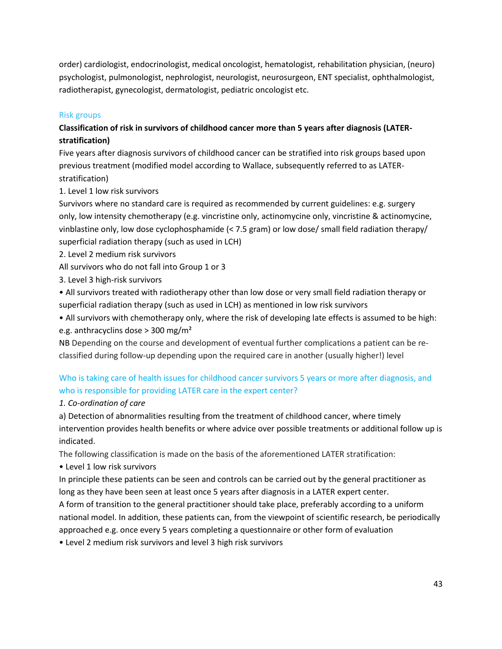order) cardiologist, endocrinologist, medical oncologist, hematologist, rehabilitation physician, (neuro) psychologist, pulmonologist, nephrologist, neurologist, neurosurgeon, ENT specialist, ophthalmologist, radiotherapist, gynecologist, dermatologist, pediatric oncologist etc.

## Risk groups

# **Classification of risk in survivors of childhood cancer more than 5 years after diagnosis (LATERstratification)**

Five years after diagnosis survivors of childhood cancer can be stratified into risk groups based upon previous treatment (modified model according to Wallace, subsequently referred to as LATERstratification)

#### 1. Level 1 low risk survivors

Survivors where no standard care is required as recommended by current guidelines: e.g. surgery only, low intensity chemotherapy (e.g. vincristine only, actinomycine only, vincristine & actinomycine, vinblastine only, low dose cyclophosphamide (< 7.5 gram) or low dose/ small field radiation therapy/ superficial radiation therapy (such as used in LCH)

2. Level 2 medium risk survivors

All survivors who do not fall into Group 1 or 3

3. Level 3 high-risk survivors

• All survivors treated with radiotherapy other than low dose or very small field radiation therapy or superficial radiation therapy (such as used in LCH) as mentioned in low risk survivors

• All survivors with chemotherapy only, where the risk of developing late effects is assumed to be high: e.g. anthracyclins dose  $>$  300 mg/m<sup>2</sup>

NB Depending on the course and development of eventual further complications a patient can be reclassified during follow-up depending upon the required care in another (usually higher!) level

# Who is taking care of health issues for childhood cancer survivors 5 years or more after diagnosis, and who is responsible for providing LATER care in the expert center?

#### *1. Co-ordination of care*

a) Detection of abnormalities resulting from the treatment of childhood cancer, where timely intervention provides health benefits or where advice over possible treatments or additional follow up is indicated.

The following classification is made on the basis of the aforementioned LATER stratification:

• Level 1 low risk survivors

In principle these patients can be seen and controls can be carried out by the general practitioner as long as they have been seen at least once 5 years after diagnosis in a LATER expert center.

A form of transition to the general practitioner should take place, preferably according to a uniform national model. In addition, these patients can, from the viewpoint of scientific research, be periodically approached e.g. once every 5 years completing a questionnaire or other form of evaluation

• Level 2 medium risk survivors and level 3 high risk survivors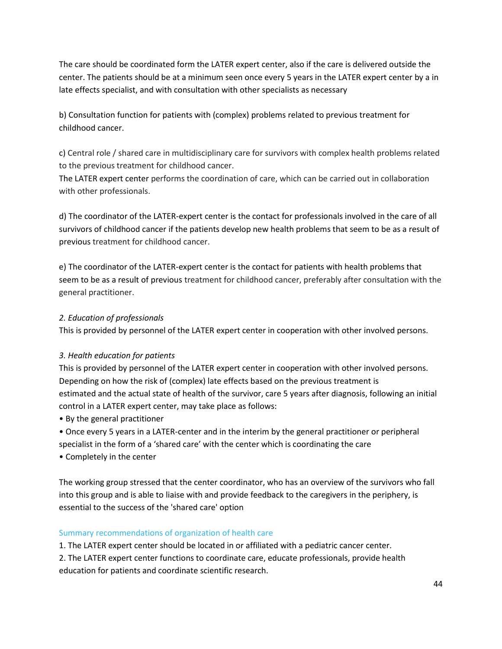The care should be coordinated form the LATER expert center, also if the care is delivered outside the center. The patients should be at a minimum seen once every 5 years in the LATER expert center by a in late effects specialist, and with consultation with other specialists as necessary

b) Consultation function for patients with (complex) problems related to previous treatment for childhood cancer.

c) Central role / shared care in multidisciplinary care for survivors with complex health problems related to the previous treatment for childhood cancer.

The LATER expert center performs the coordination of care, which can be carried out in collaboration with other professionals.

d) The coordinator of the LATER-expert center is the contact for professionals involved in the care of all survivors of childhood cancer if the patients develop new health problems that seem to be as a result of previous treatment for childhood cancer.

e) The coordinator of the LATER-expert center is the contact for patients with health problems that seem to be as a result of previous treatment for childhood cancer, preferably after consultation with the general practitioner.

## *2. Education of professionals*

This is provided by personnel of the LATER expert center in cooperation with other involved persons.

## *3. Health education for patients*

This is provided by personnel of the LATER expert center in cooperation with other involved persons. Depending on how the risk of (complex) late effects based on the previous treatment is estimated and the actual state of health of the survivor, care 5 years after diagnosis, following an initial control in a LATER expert center, may take place as follows:

• By the general practitioner

• Once every 5 years in a LATER-center and in the interim by the general practitioner or peripheral specialist in the form of a 'shared care' with the center which is coordinating the care

• Completely in the center

The working group stressed that the center coordinator, who has an overview of the survivors who fall into this group and is able to liaise with and provide feedback to the caregivers in the periphery, is essential to the success of the 'shared care' option

## Summary recommendations of organization of health care

1. The LATER expert center should be located in or affiliated with a pediatric cancer center.

2. The LATER expert center functions to coordinate care, educate professionals, provide health education for patients and coordinate scientific research.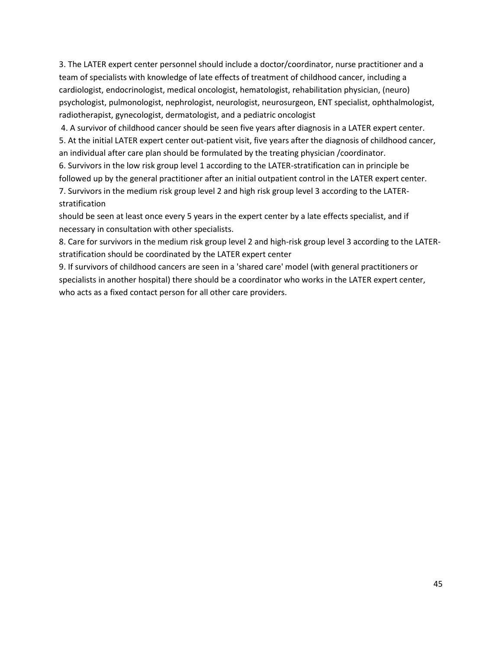3. The LATER expert center personnel should include a doctor/coordinator, nurse practitioner and a team of specialists with knowledge of late effects of treatment of childhood cancer, including a cardiologist, endocrinologist, medical oncologist, hematologist, rehabilitation physician, (neuro) psychologist, pulmonologist, nephrologist, neurologist, neurosurgeon, ENT specialist, ophthalmologist, radiotherapist, gynecologist, dermatologist, and a pediatric oncologist

4. A survivor of childhood cancer should be seen five years after diagnosis in a LATER expert center.

5. At the initial LATER expert center out-patient visit, five years after the diagnosis of childhood cancer, an individual after care plan should be formulated by the treating physician /coordinator.

6. Survivors in the low risk group level 1 according to the LATER-stratification can in principle be followed up by the general practitioner after an initial outpatient control in the LATER expert center.

7. Survivors in the medium risk group level 2 and high risk group level 3 according to the LATERstratification

should be seen at least once every 5 years in the expert center by a late effects specialist, and if necessary in consultation with other specialists.

8. Care for survivors in the medium risk group level 2 and high-risk group level 3 according to the LATERstratification should be coordinated by the LATER expert center

9. If survivors of childhood cancers are seen in a 'shared care' model (with general practitioners or specialists in another hospital) there should be a coordinator who works in the LATER expert center, who acts as a fixed contact person for all other care providers.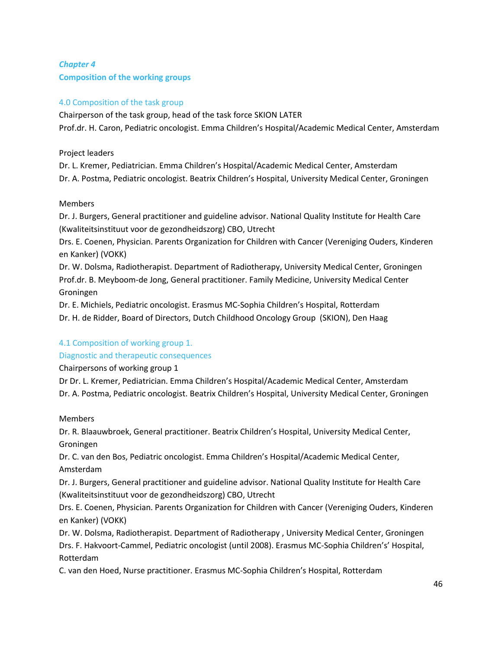# *Chapter 4* **Composition of the working groups**

# 4.0 Composition of the task group

Chairperson of the task group, head of the task force SKION LATER Prof.dr. H. Caron, Pediatric oncologist. Emma Children's Hospital/Academic Medical Center, Amsterdam

## Project leaders

Dr. L. Kremer, Pediatrician. Emma Children's Hospital/Academic Medical Center, Amsterdam Dr. A. Postma, Pediatric oncologist. Beatrix Children's Hospital, University Medical Center, Groningen

#### Members

Dr. J. Burgers, General practitioner and guideline advisor. National Quality Institute for Health Care (Kwaliteitsinstituut voor de gezondheidszorg) CBO, Utrecht

Drs. E. Coenen, Physician. Parents Organization for Children with Cancer (Vereniging Ouders, Kinderen en Kanker) (VOKK)

Dr. W. Dolsma, Radiotherapist. Department of Radiotherapy, University Medical Center, Groningen Prof.dr. B. Meyboom-de Jong, General practitioner. Family Medicine, University Medical Center Groningen

Dr. E. Michiels, Pediatric oncologist. Erasmus MC-Sophia Children's Hospital, Rotterdam Dr. H. de Ridder, Board of Directors, Dutch Childhood Oncology Group (SKION), Den Haag

## 4.1 Composition of working group 1.

## Diagnostic and therapeutic consequences

Chairpersons of working group 1

Dr Dr. L. Kremer, Pediatrician. Emma Children's Hospital/Academic Medical Center, Amsterdam Dr. A. Postma, Pediatric oncologist. Beatrix Children's Hospital, University Medical Center, Groningen

## Members

Dr. R. Blaauwbroek, General practitioner. Beatrix Children's Hospital, University Medical Center, Groningen

Dr. C. van den Bos, Pediatric oncologist. Emma Children's Hospital/Academic Medical Center, Amsterdam

Dr. J. Burgers, General practitioner and guideline advisor. National Quality Institute for Health Care (Kwaliteitsinstituut voor de gezondheidszorg) CBO, Utrecht

Drs. E. Coenen, Physician. Parents Organization for Children with Cancer (Vereniging Ouders, Kinderen en Kanker) (VOKK)

Dr. W. Dolsma, Radiotherapist. Department of Radiotherapy , University Medical Center, Groningen Drs. F. Hakvoort-Cammel, Pediatric oncologist (until 2008). Erasmus MC-Sophia Children's' Hospital, Rotterdam

C. van den Hoed, Nurse practitioner. Erasmus MC-Sophia Children's Hospital, Rotterdam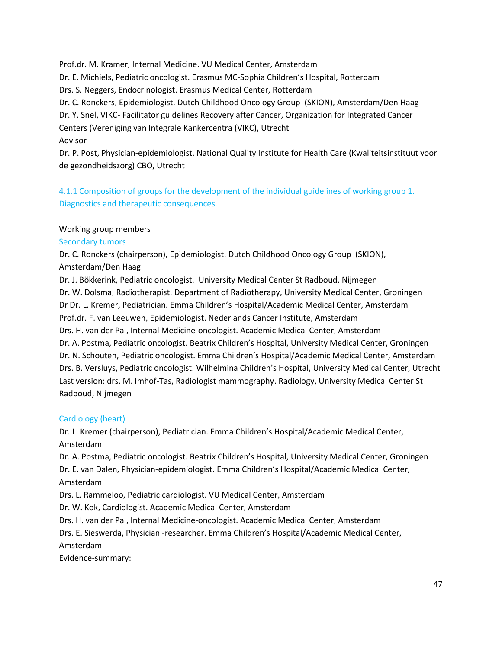Prof.dr. M. Kramer, Internal Medicine. VU Medical Center, Amsterdam Dr. E. Michiels, Pediatric oncologist. Erasmus MC-Sophia Children's Hospital, Rotterdam Drs. S. Neggers, Endocrinologist. Erasmus Medical Center, Rotterdam Dr. C. Ronckers, Epidemiologist. Dutch Childhood Oncology Group (SKION), Amsterdam/Den Haag Dr. Y. Snel, VIKC- Facilitator guidelines Recovery after Cancer, Organization for Integrated Cancer Centers (Vereniging van Integrale Kankercentra (VIKC), Utrecht Advisor

Dr. P. Post, Physician-epidemiologist. National Quality Institute for Health Care (Kwaliteitsinstituut voor de gezondheidszorg) CBO, Utrecht

4.1.1 Composition of groups for the development of the individual guidelines of working group 1. Diagnostics and therapeutic consequences.

#### Working group members

#### Secondary tumors

Dr. C. Ronckers (chairperson), Epidemiologist. Dutch Childhood Oncology Group (SKION), Amsterdam/Den Haag

Dr. J. Bökkerink, Pediatric oncologist. University Medical Center St Radboud, Nijmegen Dr. W. Dolsma, Radiotherapist. Department of Radiotherapy, University Medical Center, Groningen Dr Dr. L. Kremer, Pediatrician. Emma Children's Hospital/Academic Medical Center, Amsterdam Prof.dr. F. van Leeuwen, Epidemiologist. Nederlands Cancer Institute, Amsterdam Drs. H. van der Pal, Internal Medicine-oncologist. Academic Medical Center, Amsterdam Dr. A. Postma, Pediatric oncologist. Beatrix Children's Hospital, University Medical Center, Groningen Dr. N. Schouten, Pediatric oncologist. Emma Children's Hospital/Academic Medical Center, Amsterdam Drs. B. Versluys, Pediatric oncologist. Wilhelmina Children's Hospital, University Medical Center, Utrecht Last version: drs. M. Imhof-Tas, Radiologist mammography. Radiology, University Medical Center St Radboud, Nijmegen

#### Cardiology (heart)

Dr. L. Kremer (chairperson), Pediatrician. Emma Children's Hospital/Academic Medical Center, Amsterdam

Dr. A. Postma, Pediatric oncologist. Beatrix Children's Hospital, University Medical Center, Groningen Dr. E. van Dalen, Physician-epidemiologist. Emma Children's Hospital/Academic Medical Center, Amsterdam

Drs. L. Rammeloo, Pediatric cardiologist. VU Medical Center, Amsterdam

Dr. W. Kok, Cardiologist. Academic Medical Center, Amsterdam

Drs. H. van der Pal, Internal Medicine-oncologist. Academic Medical Center, Amsterdam

Drs. E. Sieswerda, Physician -researcher. Emma Children's Hospital/Academic Medical Center, Amsterdam

Evidence-summary: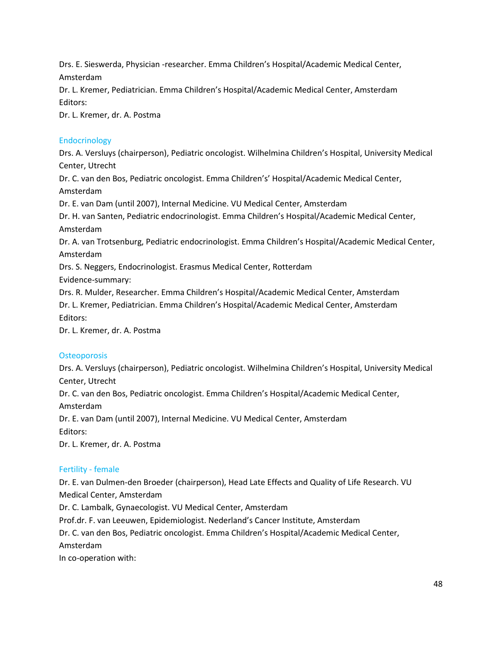Drs. E. Sieswerda, Physician -researcher. Emma Children's Hospital/Academic Medical Center, Amsterdam

Dr. L. Kremer, Pediatrician. Emma Children's Hospital/Academic Medical Center, Amsterdam Editors:

Dr. L. Kremer, dr. A. Postma

## Endocrinology

Drs. A. Versluys (chairperson), Pediatric oncologist. Wilhelmina Children's Hospital, University Medical Center, Utrecht

Dr. C. van den Bos, Pediatric oncologist. Emma Children's' Hospital/Academic Medical Center, Amsterdam

Dr. E. van Dam (until 2007), Internal Medicine. VU Medical Center, Amsterdam

Dr. H. van Santen, Pediatric endocrinologist. Emma Children's Hospital/Academic Medical Center, Amsterdam

Dr. A. van Trotsenburg, Pediatric endocrinologist. Emma Children's Hospital/Academic Medical Center, Amsterdam

Drs. S. Neggers, Endocrinologist. Erasmus Medical Center, Rotterdam

Evidence-summary:

Drs. R. Mulder, Researcher. Emma Children's Hospital/Academic Medical Center, Amsterdam Dr. L. Kremer, Pediatrician. Emma Children's Hospital/Academic Medical Center, Amsterdam Editors:

Dr. L. Kremer, dr. A. Postma

## **Osteoporosis**

Drs. A. Versluys (chairperson), Pediatric oncologist. Wilhelmina Children's Hospital, University Medical Center, Utrecht Dr. C. van den Bos, Pediatric oncologist. Emma Children's Hospital/Academic Medical Center, Amsterdam Dr. E. van Dam (until 2007), Internal Medicine. VU Medical Center, Amsterdam Editors: Dr. L. Kremer, dr. A. Postma

## Fertility - female

Dr. E. van Dulmen-den Broeder (chairperson), Head Late Effects and Quality of Life Research. VU Medical Center, Amsterdam Dr. C. Lambalk, Gynaecologist. VU Medical Center, Amsterdam Prof.dr. F. van Leeuwen, Epidemiologist. Nederland's Cancer Institute, Amsterdam Dr. C. van den Bos, Pediatric oncologist. Emma Children's Hospital/Academic Medical Center, Amsterdam In co-operation with: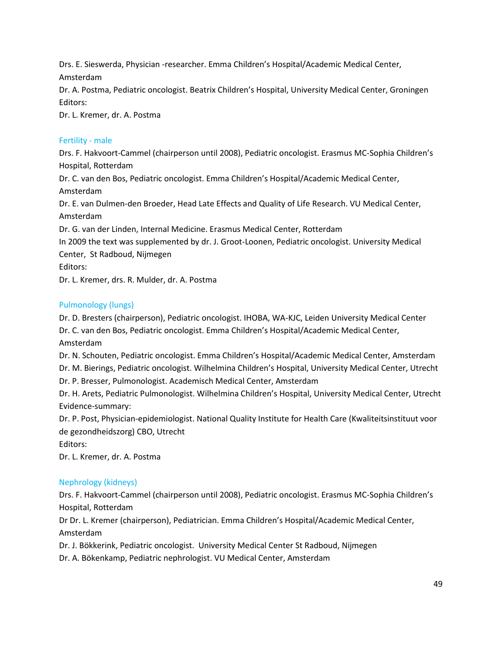Drs. E. Sieswerda, Physician -researcher. Emma Children's Hospital/Academic Medical Center, Amsterdam

Dr. A. Postma, Pediatric oncologist. Beatrix Children's Hospital, University Medical Center, Groningen Editors:

Dr. L. Kremer, dr. A. Postma

## Fertility - male

Drs. F. Hakvoort-Cammel (chairperson until 2008), Pediatric oncologist. Erasmus MC-Sophia Children's Hospital, Rotterdam Dr. C. van den Bos, Pediatric oncologist. Emma Children's Hospital/Academic Medical Center, Amsterdam Dr. E. van Dulmen-den Broeder, Head Late Effects and Quality of Life Research. VU Medical Center, Amsterdam Dr. G. van der Linden, Internal Medicine. Erasmus Medical Center, Rotterdam In 2009 the text was supplemented by dr. J. Groot-Loonen, Pediatric oncologist. University Medical Center, St Radboud, Nijmegen Editors:

Dr. L. Kremer, drs. R. Mulder, dr. A. Postma

# Pulmonology (lungs)

Dr. D. Bresters (chairperson), Pediatric oncologist. IHOBA, WA-KJC, Leiden University Medical Center Dr. C. van den Bos, Pediatric oncologist. Emma Children's Hospital/Academic Medical Center, Amsterdam

Dr. N. Schouten, Pediatric oncologist. Emma Children's Hospital/Academic Medical Center, Amsterdam Dr. M. Bierings, Pediatric oncologist. Wilhelmina Children's Hospital, University Medical Center, Utrecht

Dr. P. Bresser, Pulmonologist. Academisch Medical Center, Amsterdam

Dr. H. Arets, Pediatric Pulmonologist. Wilhelmina Children's Hospital, University Medical Center, Utrecht Evidence-summary:

Dr. P. Post, Physician-epidemiologist. National Quality Institute for Health Care (Kwaliteitsinstituut voor de gezondheidszorg) CBO, Utrecht

Editors:

Dr. L. Kremer, dr. A. Postma

# Nephrology (kidneys)

Drs. F. Hakvoort-Cammel (chairperson until 2008), Pediatric oncologist. Erasmus MC-Sophia Children's Hospital, Rotterdam

Dr Dr. L. Kremer (chairperson), Pediatrician. Emma Children's Hospital/Academic Medical Center, Amsterdam

Dr. J. Bökkerink, Pediatric oncologist. University Medical Center St Radboud, Nijmegen

Dr. A. Bökenkamp, Pediatric nephrologist. VU Medical Center, Amsterdam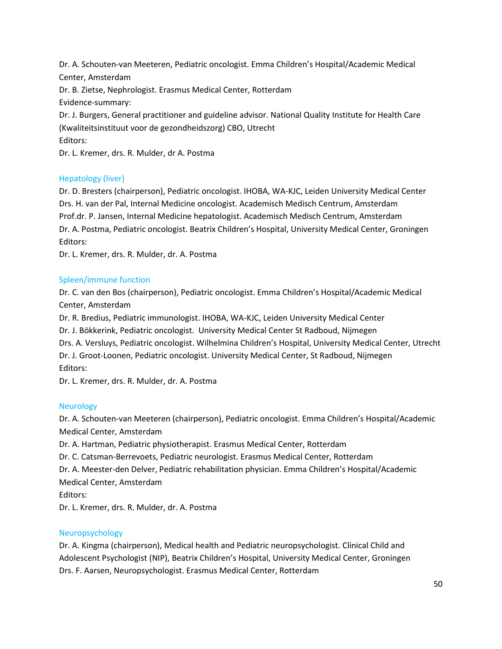Dr. A. Schouten-van Meeteren, Pediatric oncologist. Emma Children's Hospital/Academic Medical Center, Amsterdam Dr. B. Zietse, Nephrologist. Erasmus Medical Center, Rotterdam Evidence-summary: Dr. J. Burgers, General practitioner and guideline advisor. National Quality Institute for Health Care (Kwaliteitsinstituut voor de gezondheidszorg) CBO, Utrecht Editors:

Dr. L. Kremer, drs. R. Mulder, dr A. Postma

## Hepatology (liver)

Dr. D. Bresters (chairperson), Pediatric oncologist. IHOBA, WA-KJC, Leiden University Medical Center Drs. H. van der Pal, Internal Medicine oncologist. Academisch Medisch Centrum, Amsterdam Prof.dr. P. Jansen, Internal Medicine hepatologist. Academisch Medisch Centrum, Amsterdam Dr. A. Postma, Pediatric oncologist. Beatrix Children's Hospital, University Medical Center, Groningen Editors:

Dr. L. Kremer, drs. R. Mulder, dr. A. Postma

#### Spleen/immune function

Dr. C. van den Bos (chairperson), Pediatric oncologist. Emma Children's Hospital/Academic Medical Center, Amsterdam

Dr. R. Bredius, Pediatric immunologist. IHOBA, WA-KJC, Leiden University Medical Center Dr. J. Bökkerink, Pediatric oncologist. University Medical Center St Radboud, Nijmegen Drs. A. Versluys, Pediatric oncologist. Wilhelmina Children's Hospital, University Medical Center, Utrecht Dr. J. Groot-Loonen, Pediatric oncologist. University Medical Center, St Radboud, Nijmegen Editors:

Dr. L. Kremer, drs. R. Mulder, dr. A. Postma

#### **Neurology**

Dr. A. Schouten-van Meeteren (chairperson), Pediatric oncologist. Emma Children's Hospital/Academic Medical Center, Amsterdam

Dr. A. Hartman, Pediatric physiotherapist. Erasmus Medical Center, Rotterdam

Dr. C. Catsman-Berrevoets, Pediatric neurologist. Erasmus Medical Center, Rotterdam

Dr. A. Meester-den Delver, Pediatric rehabilitation physician. Emma Children's Hospital/Academic

Medical Center, Amsterdam

Editors:

Dr. L. Kremer, drs. R. Mulder, dr. A. Postma

## Neuropsychology

Dr. A. Kingma (chairperson), Medical health and Pediatric neuropsychologist. Clinical Child and Adolescent Psychologist (NIP), Beatrix Children's Hospital, University Medical Center, Groningen Drs. F. Aarsen, Neuropsychologist. Erasmus Medical Center, Rotterdam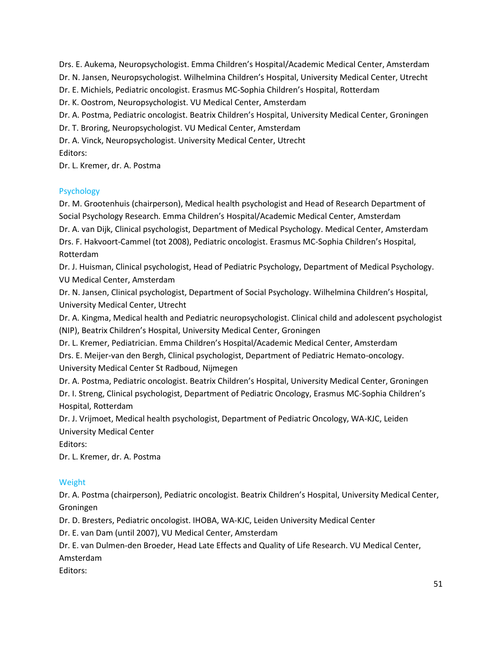Drs. E. Aukema, Neuropsychologist. Emma Children's Hospital/Academic Medical Center, Amsterdam Dr. N. Jansen, Neuropsychologist. Wilhelmina Children's Hospital, University Medical Center, Utrecht Dr. E. Michiels, Pediatric oncologist. Erasmus MC-Sophia Children's Hospital, Rotterdam Dr. K. Oostrom, Neuropsychologist. VU Medical Center, Amsterdam Dr. A. Postma, Pediatric oncologist. Beatrix Children's Hospital, University Medical Center, Groningen Dr. T. Broring, Neuropsychologist. VU Medical Center, Amsterdam Dr. A. Vinck, Neuropsychologist. University Medical Center, Utrecht Editors:

Dr. L. Kremer, dr. A. Postma

## Psychology

Dr. M. Grootenhuis (chairperson), Medical health psychologist and Head of Research Department of Social Psychology Research. Emma Children's Hospital/Academic Medical Center, Amsterdam Dr. A. van Dijk, Clinical psychologist, Department of Medical Psychology. Medical Center, Amsterdam Drs. F. Hakvoort-Cammel (tot 2008), Pediatric oncologist. Erasmus MC-Sophia Children's Hospital, Rotterdam

Dr. J. Huisman, Clinical psychologist, Head of Pediatric Psychology, Department of Medical Psychology. VU Medical Center, Amsterdam

Dr. N. Jansen, Clinical psychologist, Department of Social Psychology. Wilhelmina Children's Hospital, University Medical Center, Utrecht

Dr. A. Kingma, Medical health and Pediatric neuropsychologist. Clinical child and adolescent psychologist (NIP), Beatrix Children's Hospital, University Medical Center, Groningen

Dr. L. Kremer, Pediatrician. Emma Children's Hospital/Academic Medical Center, Amsterdam

Drs. E. Meijer-van den Bergh, Clinical psychologist, Department of Pediatric Hemato-oncology. University Medical Center St Radboud, Nijmegen

Dr. A. Postma, Pediatric oncologist. Beatrix Children's Hospital, University Medical Center, Groningen Dr. I. Streng, Clinical psychologist, Department of Pediatric Oncology, Erasmus MC-Sophia Children's Hospital, Rotterdam

Dr. J. Vrijmoet, Medical health psychologist, Department of Pediatric Oncology, WA-KJC, Leiden University Medical Center

Editors:

Dr. L. Kremer, dr. A. Postma

## Weight

Dr. A. Postma (chairperson), Pediatric oncologist. Beatrix Children's Hospital, University Medical Center, Groningen

Dr. D. Bresters, Pediatric oncologist. IHOBA, WA-KJC, Leiden University Medical Center

Dr. E. van Dam (until 2007), VU Medical Center, Amsterdam

Dr. E. van Dulmen-den Broeder, Head Late Effects and Quality of Life Research. VU Medical Center, Amsterdam

Editors: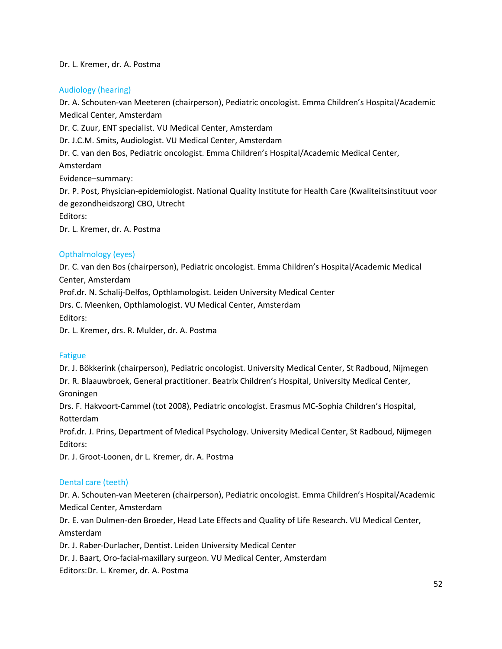#### Dr. L. Kremer, dr. A. Postma

#### Audiology (hearing)

Dr. A. Schouten-van Meeteren (chairperson), Pediatric oncologist. Emma Children's Hospital/Academic Medical Center, Amsterdam Dr. C. Zuur, ENT specialist. VU Medical Center, Amsterdam Dr. J.C.M. Smits, Audiologist. VU Medical Center, Amsterdam Dr. C. van den Bos, Pediatric oncologist. Emma Children's Hospital/Academic Medical Center, Amsterdam Evidence–summary: Dr. P. Post, Physician-epidemiologist. National Quality Institute for Health Care (Kwaliteitsinstituut voor

de gezondheidszorg) CBO, Utrecht

Editors:

Dr. L. Kremer, dr. A. Postma

#### Opthalmology (eyes)

Dr. C. van den Bos (chairperson), Pediatric oncologist. Emma Children's Hospital/Academic Medical Center, Amsterdam Prof.dr. N. Schalij-Delfos, Opthlamologist. Leiden University Medical Center Drs. C. Meenken, Opthlamologist. VU Medical Center, Amsterdam Editors: Dr. L. Kremer, drs. R. Mulder, dr. A. Postma

#### Fatigue

Dr. J. Bökkerink (chairperson), Pediatric oncologist. University Medical Center, St Radboud, Nijmegen Dr. R. Blaauwbroek, General practitioner. Beatrix Children's Hospital, University Medical Center, Groningen

Drs. F. Hakvoort-Cammel (tot 2008), Pediatric oncologist. Erasmus MC-Sophia Children's Hospital, Rotterdam

Prof.dr. J. Prins, Department of Medical Psychology. University Medical Center, St Radboud, Nijmegen Editors:

Dr. J. Groot-Loonen, dr L. Kremer, dr. A. Postma

#### Dental care (teeth)

Dr. A. Schouten-van Meeteren (chairperson), Pediatric oncologist. Emma Children's Hospital/Academic Medical Center, Amsterdam

Dr. E. van Dulmen-den Broeder, Head Late Effects and Quality of Life Research. VU Medical Center, Amsterdam

Dr. J. Raber-Durlacher, Dentist. Leiden University Medical Center

Dr. J. Baart, Oro-facial-maxillary surgeon. VU Medical Center, Amsterdam

Editors:Dr. L. Kremer, dr. A. Postma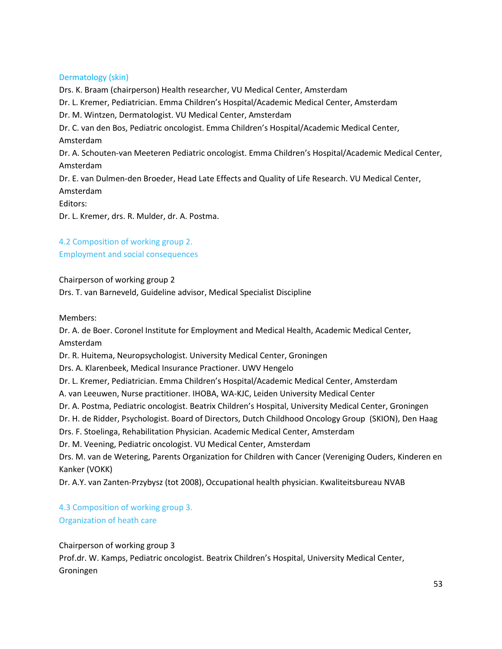#### Dermatology (skin)

Drs. K. Braam (chairperson) Health researcher, VU Medical Center, Amsterdam Dr. L. Kremer, Pediatrician. Emma Children's Hospital/Academic Medical Center, Amsterdam Dr. M. Wintzen, Dermatologist. VU Medical Center, Amsterdam Dr. C. van den Bos, Pediatric oncologist. Emma Children's Hospital/Academic Medical Center, Amsterdam Dr. A. Schouten-van Meeteren Pediatric oncologist. Emma Children's Hospital/Academic Medical Center, Amsterdam Dr. E. van Dulmen-den Broeder, Head Late Effects and Quality of Life Research. VU Medical Center, Amsterdam Editors: Dr. L. Kremer, drs. R. Mulder, dr. A. Postma.

# 4.2 Composition of working group 2.

## Employment and social consequences

Chairperson of working group 2

Drs. T. van Barneveld, Guideline advisor, Medical Specialist Discipline

Members:

Dr. A. de Boer. Coronel Institute for Employment and Medical Health, Academic Medical Center, Amsterdam

Dr. R. Huitema, Neuropsychologist. University Medical Center, Groningen

Drs. A. Klarenbeek, Medical Insurance Practioner. UWV Hengelo

Dr. L. Kremer, Pediatrician. Emma Children's Hospital/Academic Medical Center, Amsterdam

A. van Leeuwen, Nurse practitioner. IHOBA, WA-KJC, Leiden University Medical Center

Dr. A. Postma, Pediatric oncologist. Beatrix Children's Hospital, University Medical Center, Groningen

Dr. H. de Ridder, Psychologist. Board of Directors, Dutch Childhood Oncology Group (SKION), Den Haag

Drs. F. Stoelinga, Rehabilitation Physician. Academic Medical Center, Amsterdam

Dr. M. Veening, Pediatric oncologist. VU Medical Center, Amsterdam

Drs. M. van de Wetering, Parents Organization for Children with Cancer (Vereniging Ouders, Kinderen en Kanker (VOKK)

Dr. A.Y. van Zanten-Przybysz (tot 2008), Occupational health physician. Kwaliteitsbureau NVAB

4.3 Composition of working group 3. Organization of heath care

Chairperson of working group 3 Prof.dr. W. Kamps, Pediatric oncologist. Beatrix Children's Hospital, University Medical Center, Groningen